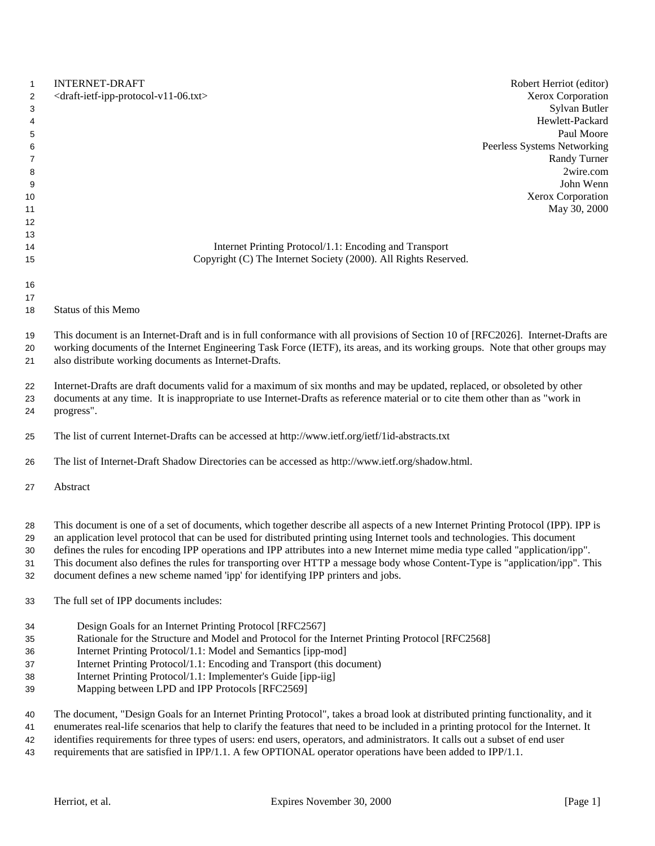| $\mathbf{1}$        | <b>INTERNET-DRAFT</b><br>Robert Herriot (editor)                                                                                                                                                                                             |
|---------------------|----------------------------------------------------------------------------------------------------------------------------------------------------------------------------------------------------------------------------------------------|
| $\overline{2}$<br>3 | Xerox Corporation<br><draft-ietf-ipp-protocol-v11-06.txt><br/>Sylvan Butler</draft-ietf-ipp-protocol-v11-06.txt>                                                                                                                             |
| 4                   | Hewlett-Packard                                                                                                                                                                                                                              |
| 5                   | Paul Moore                                                                                                                                                                                                                                   |
| 6                   | Peerless Systems Networking                                                                                                                                                                                                                  |
| 7                   | <b>Randy Turner</b>                                                                                                                                                                                                                          |
| 8                   | 2wire.com                                                                                                                                                                                                                                    |
| 9                   | John Wenn                                                                                                                                                                                                                                    |
| 10                  | Xerox Corporation                                                                                                                                                                                                                            |
| 11                  | May 30, 2000                                                                                                                                                                                                                                 |
| 12                  |                                                                                                                                                                                                                                              |
| 13                  |                                                                                                                                                                                                                                              |
| 14                  | Internet Printing Protocol/1.1: Encoding and Transport                                                                                                                                                                                       |
| 15                  | Copyright (C) The Internet Society (2000). All Rights Reserved.                                                                                                                                                                              |
| 16                  |                                                                                                                                                                                                                                              |
| 17                  |                                                                                                                                                                                                                                              |
| 18                  | Status of this Memo                                                                                                                                                                                                                          |
| 19                  | This document is an Internet-Draft and is in full conformance with all provisions of Section 10 of [RFC2026]. Internet-Drafts are                                                                                                            |
| 20                  | working documents of the Internet Engineering Task Force (IETF), its areas, and its working groups. Note that other groups may                                                                                                               |
| 21                  | also distribute working documents as Internet-Drafts.                                                                                                                                                                                        |
| 22                  | Internet-Drafts are draft documents valid for a maximum of six months and may be updated, replaced, or obsoleted by other                                                                                                                    |
| 23                  | documents at any time. It is inappropriate to use Internet-Drafts as reference material or to cite them other than as "work in                                                                                                               |
| 24                  | progress".                                                                                                                                                                                                                                   |
| 25                  | The list of current Internet-Drafts can be accessed at http://www.ietf.org/ietf/1id-abstracts.txt                                                                                                                                            |
| 26                  | The list of Internet-Draft Shadow Directories can be accessed as http://www.ietf.org/shadow.html.                                                                                                                                            |
| 27                  | Abstract                                                                                                                                                                                                                                     |
|                     | This document is one of a set of documents, which together describe all aspects of a new Internet Printing Protocol (IPP). IPP is                                                                                                            |
| 28<br>29            | an application level protocol that can be used for distributed printing using Internet tools and technologies. This document                                                                                                                 |
| 30                  | defines the rules for encoding IPP operations and IPP attributes into a new Internet mime media type called "application/ipp".                                                                                                               |
| 31                  | This document also defines the rules for transporting over HTTP a message body whose Content-Type is "application/ipp". This                                                                                                                 |
| 32                  | document defines a new scheme named 'ipp' for identifying IPP printers and jobs.                                                                                                                                                             |
| 33                  | The full set of IPP documents includes:                                                                                                                                                                                                      |
| 34                  | Design Goals for an Internet Printing Protocol [RFC2567]                                                                                                                                                                                     |
| 35                  | Rationale for the Structure and Model and Protocol for the Internet Printing Protocol [RFC2568]                                                                                                                                              |
| 36                  | Internet Printing Protocol/1.1: Model and Semantics [ipp-mod]                                                                                                                                                                                |
| 37                  | Internet Printing Protocol/1.1: Encoding and Transport (this document)                                                                                                                                                                       |
| 38                  | Internet Printing Protocol/1.1: Implementer's Guide [ipp-iig]                                                                                                                                                                                |
| 39                  | Mapping between LPD and IPP Protocols [RFC2569]                                                                                                                                                                                              |
| 40                  | The document, "Design Goals for an Internet Printing Protocol", takes a broad look at distributed printing functionality, and it                                                                                                             |
| 41                  | enumerates real-life scenarios that help to clarify the features that need to be included in a printing protocol for the Internet. It                                                                                                        |
| 42<br>$\sqrt{2}$    | identifies requirements for three types of users: end users, operators, and administrators. It calls out a subset of end user<br>$\frac{1}{2}$ and that are satisfied in IDD(1,1, A fam ODTIONAL energies examples have been added to IDD(1) |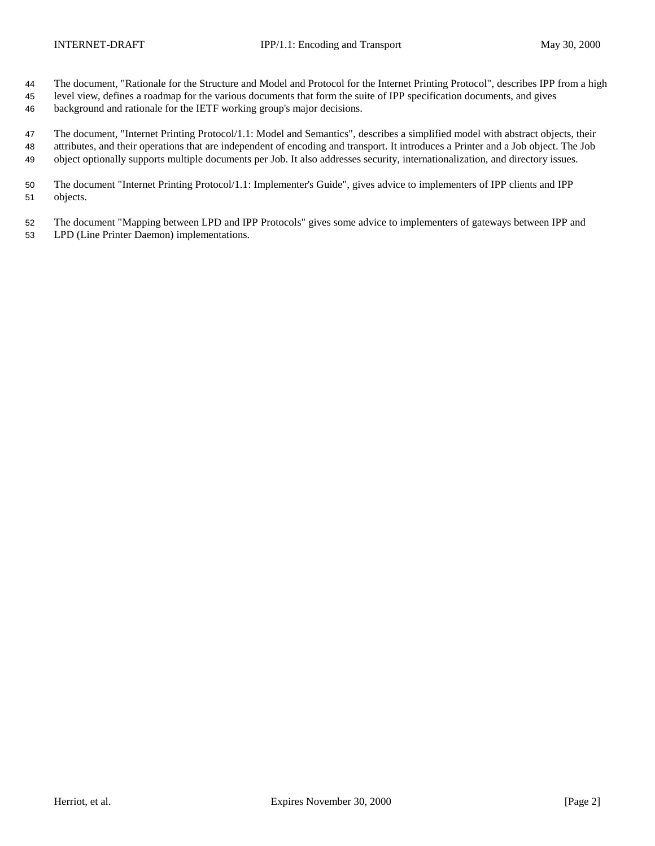- The document, "Rationale for the Structure and Model and Protocol for the Internet Printing Protocol", describes IPP from a high
- level view, defines a roadmap for the various documents that form the suite of IPP specification documents, and gives
- background and rationale for the IETF working group's major decisions.

 The document, "Internet Printing Protocol/1.1: Model and Semantics", describes a simplified model with abstract objects, their attributes, and their operations that are independent of encoding and transport. It introduces a Printer and a Job object. The Job object optionally supports multiple documents per Job. It also addresses security, internationalization, and directory issues.

- The document "Internet Printing Protocol/1.1: Implementer's Guide", gives advice to implementers of IPP clients and IPP objects.
- The document "Mapping between LPD and IPP Protocols" gives some advice to implementers of gateways between IPP and LPD (Line Printer Daemon) implementations.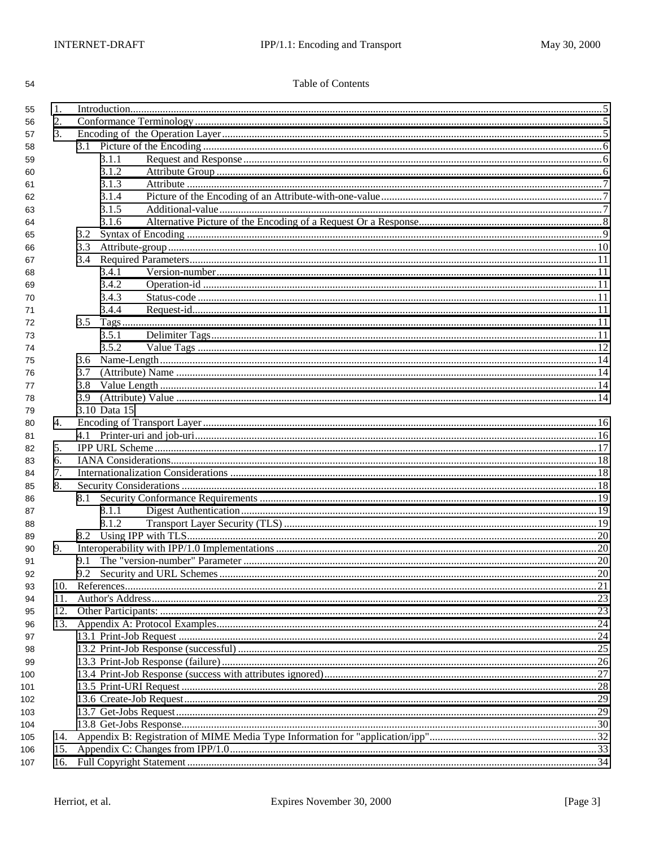## Table of Contents

| 55  | 1.  |              |  |  |  |  |
|-----|-----|--------------|--|--|--|--|
| 56  | 2.  |              |  |  |  |  |
| 57  | 3.  |              |  |  |  |  |
| 58  |     |              |  |  |  |  |
| 59  |     | 3.1.1        |  |  |  |  |
| 60  |     | 3.1.2        |  |  |  |  |
| 61  |     | 3.1.3        |  |  |  |  |
| 62  |     | 3.1.4        |  |  |  |  |
| 63  |     | 3.1.5        |  |  |  |  |
| 64  |     | 3.1.6        |  |  |  |  |
| 65  |     | 3.2          |  |  |  |  |
| 66  |     | 3.3          |  |  |  |  |
| 67  |     |              |  |  |  |  |
| 68  |     | 3.4.1        |  |  |  |  |
| 69  |     | 3.4.2        |  |  |  |  |
| 70  |     | 3.4.3        |  |  |  |  |
| 71  |     | 3.4.4        |  |  |  |  |
| 72  |     | 3.5 Tags     |  |  |  |  |
| 73  |     | 3.5.1        |  |  |  |  |
| 74  |     | 3.5.2        |  |  |  |  |
| 75  |     |              |  |  |  |  |
| 76  |     | 3.7          |  |  |  |  |
| 77  |     | 3.8          |  |  |  |  |
| 78  |     | 3.9          |  |  |  |  |
| 79  |     | 3.10 Data 15 |  |  |  |  |
| 80  | 4.  |              |  |  |  |  |
| 81  |     |              |  |  |  |  |
| 82  | 5.  |              |  |  |  |  |
| 83  | 6.  |              |  |  |  |  |
| 84  | 7.  |              |  |  |  |  |
| 85  | 8.  |              |  |  |  |  |
| 86  |     |              |  |  |  |  |
| 87  |     | 8.1.1        |  |  |  |  |
| 88  |     | 8.1.2        |  |  |  |  |
| 89  |     |              |  |  |  |  |
| 90  | 9.  |              |  |  |  |  |
| 91  |     | 9.1          |  |  |  |  |
|     |     | 9.2          |  |  |  |  |
| 92  | 10. |              |  |  |  |  |
| 93  | 11. |              |  |  |  |  |
| 94  |     |              |  |  |  |  |
| 95  | 12. |              |  |  |  |  |
| 96  |     |              |  |  |  |  |
| 97  |     |              |  |  |  |  |
| 98  |     |              |  |  |  |  |
| 99  |     |              |  |  |  |  |
| 100 |     |              |  |  |  |  |
| 101 |     |              |  |  |  |  |
| 102 |     |              |  |  |  |  |
| 103 |     |              |  |  |  |  |
| 104 |     |              |  |  |  |  |
| 105 | 14. |              |  |  |  |  |
| 106 | 15. |              |  |  |  |  |
| 107 | 16. |              |  |  |  |  |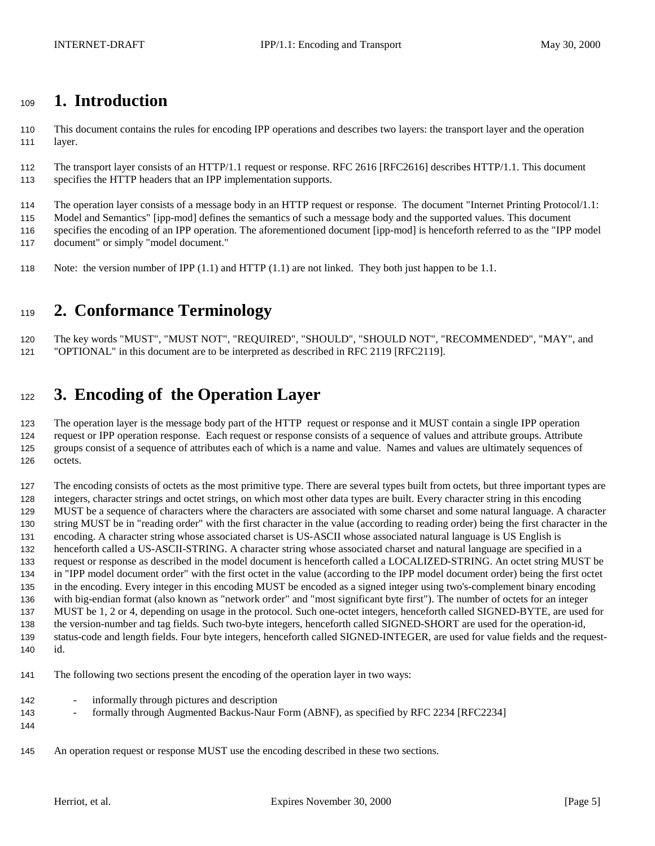# <span id="page-4-0"></span>**1. Introduction**

 This document contains the rules for encoding IPP operations and describes two layers: the transport layer and the operation layer.

 The transport layer consists of an HTTP/1.1 request or response. RFC 2616 [RFC2616] describes HTTP/1.1. This document specifies the HTTP headers that an IPP implementation supports.

The operation layer consists of a message body in an HTTP request or response. The document "Internet Printing Protocol/1.1:

Model and Semantics" [ipp-mod] defines the semantics of such a message body and the supported values. This document

 specifies the encoding of an IPP operation. The aforementioned document [ipp-mod] is henceforth referred to as the "IPP model document" or simply "model document."

Note: the version number of IPP (1.1) and HTTP (1.1) are not linked. They both just happen to be 1.1.

# **2. Conformance Terminology**

 The key words "MUST", "MUST NOT", "REQUIRED", "SHOULD", "SHOULD NOT", "RECOMMENDED", "MAY", and "OPTIONAL" in this document are to be interpreted as described in RFC 2119 [RFC2119].

# **3. Encoding of the Operation Layer**

 The operation layer is the message body part of the HTTP request or response and it MUST contain a single IPP operation request or IPP operation response. Each request or response consists of a sequence of values and attribute groups. Attribute groups consist of a sequence of attributes each of which is a name and value. Names and values are ultimately sequences of octets.

 The encoding consists of octets as the most primitive type. There are several types built from octets, but three important types are integers, character strings and octet strings, on which most other data types are built. Every character string in this encoding MUST be a sequence of characters where the characters are associated with some charset and some natural language. A character string MUST be in "reading order" with the first character in the value (according to reading order) being the first character in the encoding. A character string whose associated charset is US-ASCII whose associated natural language is US English is henceforth called a US-ASCII-STRING. A character string whose associated charset and natural language are specified in a request or response as described in the model document is henceforth called a LOCALIZED-STRING. An octet string MUST be in "IPP model document order" with the first octet in the value (according to the IPP model document order) being the first octet in the encoding. Every integer in this encoding MUST be encoded as a signed integer using two's-complement binary encoding with big-endian format (also known as "network order" and "most significant byte first"). The number of octets for an integer MUST be 1, 2 or 4, depending on usage in the protocol. Such one-octet integers, henceforth called SIGNED-BYTE, are used for the version-number and tag fields. Such two-byte integers, henceforth called SIGNED-SHORT are used for the operation-id, status-code and length fields. Four byte integers, henceforth called SIGNED-INTEGER, are used for value fields and the request-id.

The following two sections present the encoding of the operation layer in two ways:

- informally through pictures and description
- **formally through Augmented Backus-Naur Form (ABNF), as specified by RFC 2234 [RFC2234]**
- 
- An operation request or response MUST use the encoding described in these two sections.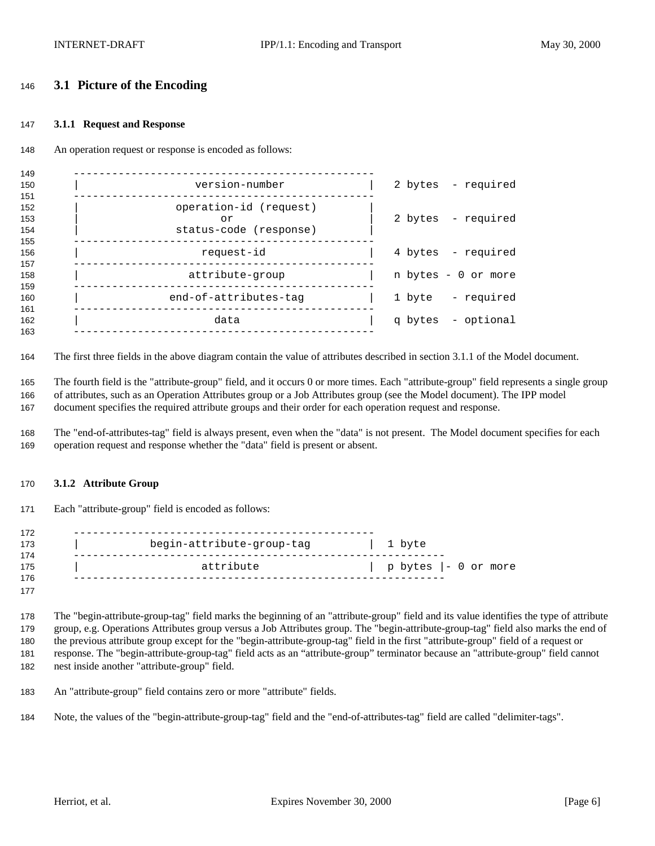## <span id="page-5-0"></span>**3.1 Picture of the Encoding**

#### **3.1.1 Request and Response**

An operation request or response is encoded as follows:

| 149                      |                                                        |                     |
|--------------------------|--------------------------------------------------------|---------------------|
| 150<br>151               | version-number                                         | 2 bytes - required  |
| 152<br>153<br>154<br>155 | operation-id (request)<br>or<br>status-code (response) | 2 bytes - required  |
| 156<br>157               | request-id                                             | 4 bytes - required  |
| 158<br>159               | attribute-group                                        | n bytes - 0 or more |
| 160                      | end-of-attributes-tag                                  | 1 byte - required   |
| 161<br>162<br>163        | data                                                   | q bytes - optional  |
|                          |                                                        |                     |

The first three fields in the above diagram contain the value of attributes described in section 3.1.1 of the Model document.

 The fourth field is the "attribute-group" field, and it occurs 0 or more times. Each "attribute-group" field represents a single group of attributes, such as an Operation Attributes group or a Job Attributes group (see the Model document). The IPP model

document specifies the required attribute groups and their order for each operation request and response.

 The "end-of-attributes-tag" field is always present, even when the "data" is not present. The Model document specifies for each operation request and response whether the "data" field is present or absent.

#### **3.1.2 Attribute Group**

Each "attribute-group" field is encoded as follows:

| 172 |                           |                         |
|-----|---------------------------|-------------------------|
| 173 | begin-attribute-group-tag | 1 byte                  |
| 174 |                           |                         |
| 175 | attribute                 | $p$ bytes $ -0$ or more |
| 176 |                           |                         |
| 177 |                           |                         |

 The "begin-attribute-group-tag" field marks the beginning of an "attribute-group" field and its value identifies the type of attribute group, e.g. Operations Attributes group versus a Job Attributes group. The "begin-attribute-group-tag" field also marks the end of the previous attribute group except for the "begin-attribute-group-tag" field in the first "attribute-group" field of a request or response. The "begin-attribute-group-tag" field acts as an "attribute-group" terminator because an "attribute-group" field cannot nest inside another "attribute-group" field.

An "attribute-group" field contains zero or more "attribute" fields.

Note, the values of the "begin-attribute-group-tag" field and the "end-of-attributes-tag" field are called "delimiter-tags".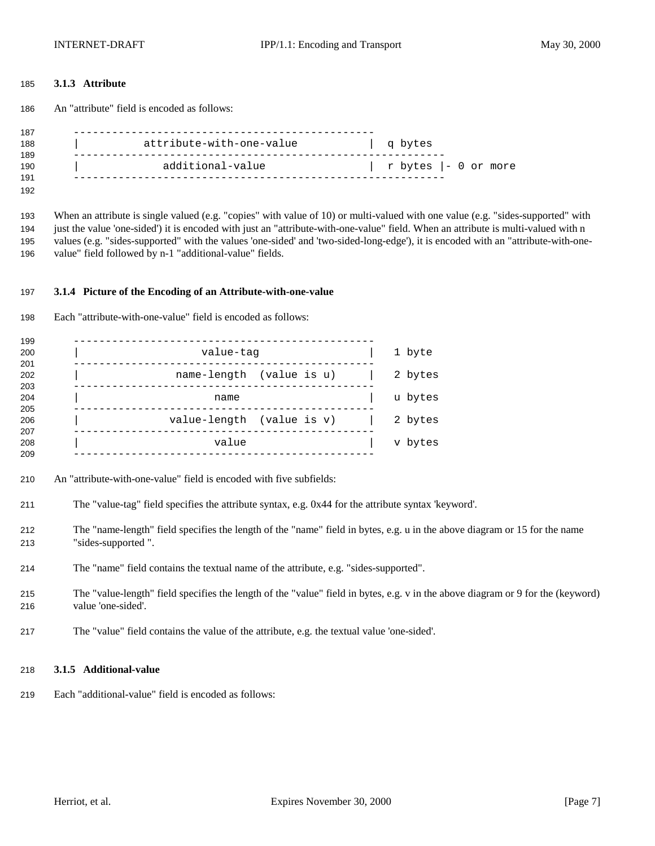#### <span id="page-6-0"></span>**3.1.3 Attribute**

An "attribute" field is encoded as follows:

| 187 |                          |                      |
|-----|--------------------------|----------------------|
| 188 | attribute-with-one-value | g bytes              |
| 189 |                          |                      |
| 190 | additional-value         | r bytes  - 0 or more |
| 191 |                          |                      |

 When an attribute is single valued (e.g. "copies" with value of 10) or multi-valued with one value (e.g. "sides-supported" with just the value 'one-sided') it is encoded with just an "attribute-with-one-value" field. When an attribute is multi-valued with n values (e.g. "sides-supported" with the values 'one-sided' and 'two-sided-long-edge'), it is encoded with an "attribute-with-one-value" field followed by n-1 "additional-value" fields.

#### **3.1.4 Picture of the Encoding of an Attribute-with-one-value**

| 198 |  | Each "attribute-with-one-value" field is encoded as follows: |  |  |  |
|-----|--|--------------------------------------------------------------|--|--|--|
|-----|--|--------------------------------------------------------------|--|--|--|

| 199 |                           |         |
|-----|---------------------------|---------|
| 200 | value-tag                 | 1 byte  |
| 201 |                           |         |
| 202 | name-length (value is u)  | 2 bytes |
| 203 |                           |         |
| 204 | name                      | u bytes |
| 205 |                           |         |
| 206 | value-length (value is v) | 2 bytes |
| 207 |                           |         |
| 208 | value                     | v bytes |
| 209 |                           |         |
|     |                           |         |

- An "attribute-with-one-value" field is encoded with five subfields:
- The "value-tag" field specifies the attribute syntax, e.g. 0x44 for the attribute syntax 'keyword'.
- The "name-length" field specifies the length of the "name" field in bytes, e.g. u in the above diagram or 15 for the name "sides-supported ".
- The "name" field contains the textual name of the attribute, e.g. "sides-supported".
- The "value-length" field specifies the length of the "value" field in bytes, e.g. v in the above diagram or 9 for the (keyword) value 'one-sided'.
- The "value" field contains the value of the attribute, e.g. the textual value 'one-sided'.

#### **3.1.5 Additional-value**

Each "additional-value" field is encoded as follows: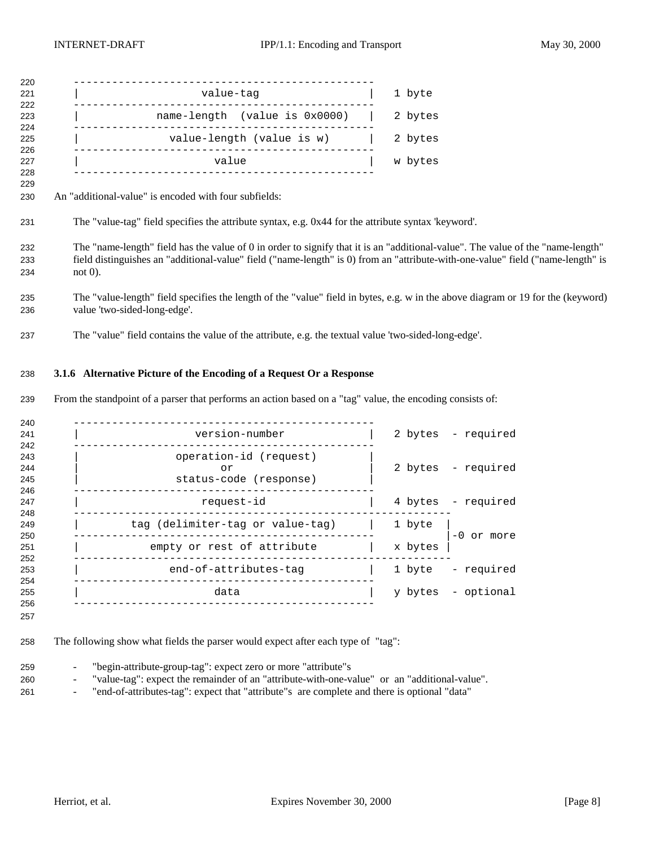<span id="page-7-0"></span>

| 220<br>221 | value-tag                          | 1 byte  |
|------------|------------------------------------|---------|
| 222        |                                    |         |
| 223<br>224 | $name-length$ (value is $0x0000$ ) | 2 bytes |
| 225<br>226 | value-length (value is w)          | 2 bytes |
| 227<br>228 | value                              | w bytes |

An "additional-value" is encoded with four subfields:

- The "name-length" field has the value of 0 in order to signify that it is an "additional-value". The value of the "name-length" field distinguishes an "additional-value" field ("name-length" is 0) from an "attribute-with-one-value" field ("name-length" is not 0).
- The "value-length" field specifies the length of the "value" field in bytes, e.g. w in the above diagram or 19 for the (keyword) value 'two-sided-long-edge'.
- The "value" field contains the value of the attribute, e.g. the textual value 'two-sided-long-edge'.

#### **3.1.6 Alternative Picture of the Encoding of a Request Or a Response**

From the standpoint of a parser that performs an action based on a "tag" value, the encoding consists of:

| version-number                                         |         | 2 bytes - required |
|--------------------------------------------------------|---------|--------------------|
| operation-id (request)<br>or<br>status-code (response) |         | 2 bytes - required |
| request-id                                             |         | 4 bytes - required |
| tag (delimiter-tag or value-tag)                       | 1 byte  | $-0$ or more       |
| empty or rest of attribute                             | x bytes |                    |
| end-of-attributes-tag                                  |         | 1 byte - required  |
| data                                                   |         | y bytes - optional |
|                                                        |         |                    |

- The following show what fields the parser would expect after each type of "tag":
- "begin-attribute-group-tag": expect zero or more "attribute"s
- "value-tag": expect the remainder of an "attribute-with-one-value" or an "additional-value".
- "end-of-attributes-tag": expect that "attribute"s are complete and there is optional "data"

The "value-tag" field specifies the attribute syntax, e.g. 0x44 for the attribute syntax 'keyword'.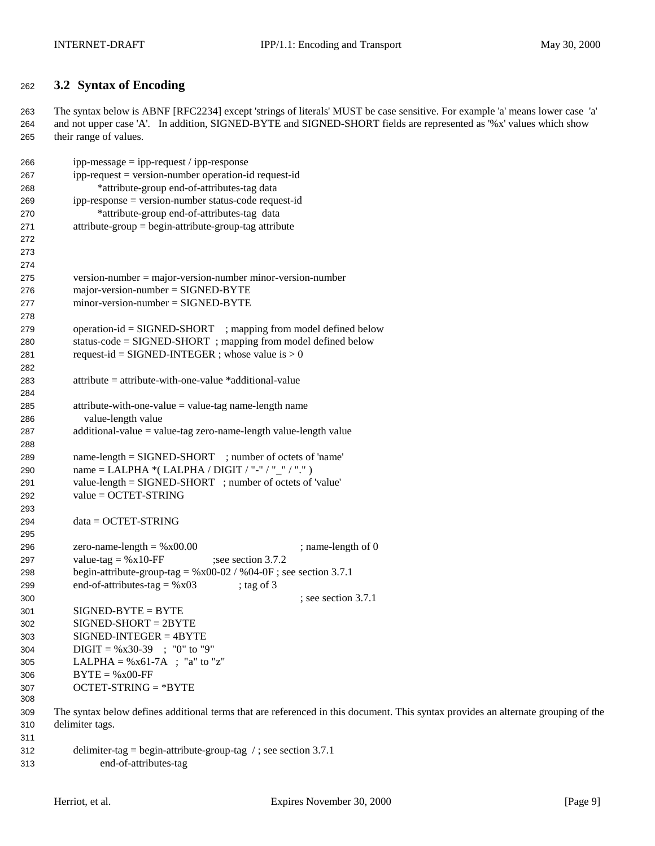# <span id="page-8-0"></span>**3.2 Syntax of Encoding**

 The syntax below is ABNF [RFC2234] except 'strings of literals' MUST be case sensitive. For example 'a' means lower case 'a' and not upper case 'A'. In addition, SIGNED-BYTE and SIGNED-SHORT fields are represented as '%x' values which show their range of values.

| 266 | $ipp-message = ipp-request / ipp-response$                                                                                        |
|-----|-----------------------------------------------------------------------------------------------------------------------------------|
| 267 | ipp-request = version-number operation-id request-id                                                                              |
| 268 | *attribute-group end-of-attributes-tag data                                                                                       |
| 269 | ipp-response = version-number status-code request-id                                                                              |
| 270 | *attribute-group end-of-attributes-tag data                                                                                       |
| 271 | $attribute-group = begin-attribute-group-tag attribute$                                                                           |
| 272 |                                                                                                                                   |
| 273 |                                                                                                                                   |
| 274 |                                                                                                                                   |
| 275 | $version-number = majorversion-number minor-version-number$                                                                       |
| 276 | $major-version-number = SIGNED-BYTE$                                                                                              |
| 277 | $minor-version-number = SIGNED-BYTE$                                                                                              |
| 278 |                                                                                                                                   |
| 279 | $operation-id = SIGNED-SHORT$ ; mapping from model defined below                                                                  |
| 280 | status-code = SIGNED-SHORT; mapping from model defined below                                                                      |
| 281 | request-id = SIGNED-INTEGER ; whose value is $> 0$                                                                                |
| 282 |                                                                                                                                   |
| 283 | $attribute = attribute - with-one-value * additional-value$                                                                       |
| 284 |                                                                                                                                   |
| 285 | $attribute$ -with-one-value = value-tag name-length name                                                                          |
| 286 | value-length value                                                                                                                |
| 287 | $additional-value = value-tag zero-name-length value-length value$                                                                |
| 288 |                                                                                                                                   |
| 289 | name-length = SIGNED-SHORT ; number of octets of 'name'                                                                           |
| 290 | name = LALPHA *( LALPHA / DIGIT / "-" / "_" / ".")                                                                                |
| 291 | value-length = SIGNED-SHORT ; number of octets of 'value'                                                                         |
| 292 | $value = OCTET-STRING$                                                                                                            |
| 293 |                                                                                                                                   |
| 294 | $data = OCTET-STRING$                                                                                                             |
| 295 |                                                                                                                                   |
| 296 | ; name-length of 0<br>zero-name-length = $%x00.00$                                                                                |
| 297 | value-tag = $%x10$ -FF<br>; see section 3.7.2                                                                                     |
| 298 | begin-attribute-group-tag = $%x00-02$ / $%04-0F$ ; see section 3.7.1                                                              |
| 299 | end-of-attributes-tag = $%x03$<br>; tag of $3$                                                                                    |
| 300 | ; see section 3.7.1                                                                                                               |
| 301 | $SIGNED-BYTE = BYTE$                                                                                                              |
| 302 | $SIGNED-SHORT = 2BYTE$                                                                                                            |
| 303 | $SIGNED-INTER = 4BYTE$                                                                                                            |
| 304 | $\text{Diff} = \% \times 30-39$ ; "0" to "9"                                                                                      |
| 305 | LALPHA = $%x61-7A$ ; "a" to "z"                                                                                                   |
| 306 | $BYTE = %x00-FF$                                                                                                                  |
| 307 | $OCTET-STRING = *BYTE$                                                                                                            |
| 308 |                                                                                                                                   |
| 309 | The syntax below defines additional terms that are referenced in this document. This syntax provides an alternate grouping of the |
| 310 | delimiter tags.                                                                                                                   |
| 311 |                                                                                                                                   |
|     |                                                                                                                                   |

| 312 | delimiter-tag = begin-attribute-group-tag $\ell$ ; see section 3.7.1 |
|-----|----------------------------------------------------------------------|
| 313 | end-of-attributes-tag                                                |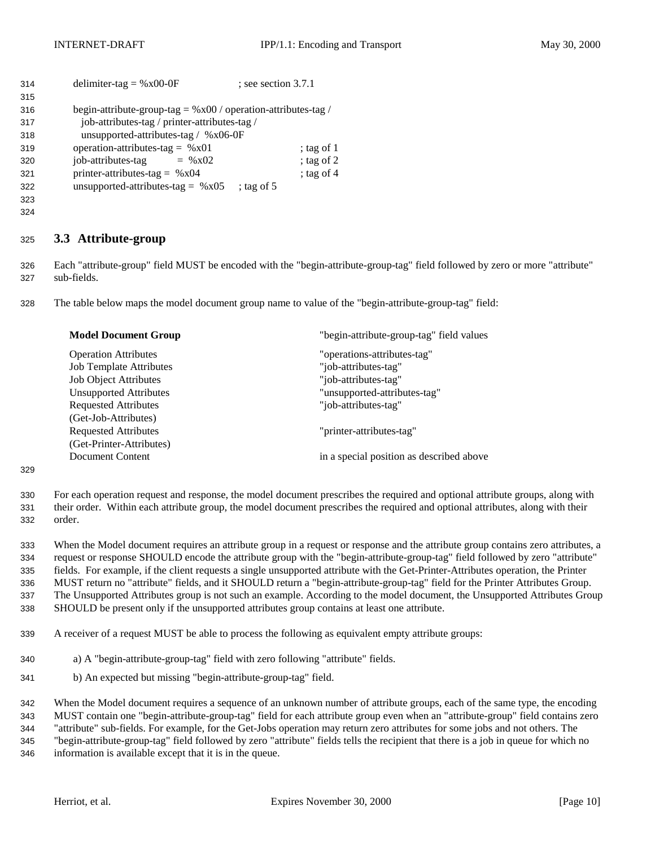<span id="page-9-0"></span>

| 314 | delimiter-tag = $%x00-0F$                                        | $:$ see section 3.7.1 |              |
|-----|------------------------------------------------------------------|-----------------------|--------------|
| 315 |                                                                  |                       |              |
| 316 | begin-attribute-group-tag = $\%x00$ / operation-attributes-tag / |                       |              |
| 317 | job-attributes-tag / printer-attributes-tag /                    |                       |              |
| 318 | unsupported-attributes-tag / $\%x06-0F$                          |                       |              |
| 319 | operation-attributes-tag = $%x01$                                |                       | ; tag of $1$ |
| 320 | job-attributes-tag<br>$=$ % x02                                  |                       | ; tag of $2$ |
| 321 | printer-attributes-tag = $%x04$                                  |                       | ; tag of $4$ |
| 322 | unsupported-attributes-tag = $%x05$                              | ; tag of $5$          |              |
| 323 |                                                                  |                       |              |

## **3.3 Attribute-group**

 Each "attribute-group" field MUST be encoded with the "begin-attribute-group-tag" field followed by zero or more "attribute" sub-fields.

The table below maps the model document group name to value of the "begin-attribute-group-tag" field:

| <b>Model Document Group</b>    | "begin-attribute-group-tag" field values |  |
|--------------------------------|------------------------------------------|--|
| <b>Operation Attributes</b>    | "operations-attributes-tag"              |  |
| <b>Job Template Attributes</b> | "job-attributes-tag"                     |  |
| <b>Job Object Attributes</b>   | "job-attributes-tag"                     |  |
| <b>Unsupported Attributes</b>  | "unsupported-attributes-tag"             |  |
| <b>Requested Attributes</b>    | "job-attributes-tag"                     |  |
| (Get-Job-Attributes)           |                                          |  |
| <b>Requested Attributes</b>    | "printer-attributes-tag"                 |  |
| (Get-Printer-Attributes)       |                                          |  |
| Document Content               | in a special position as described above |  |

#### 

 For each operation request and response, the model document prescribes the required and optional attribute groups, along with their order. Within each attribute group, the model document prescribes the required and optional attributes, along with their order.

 When the Model document requires an attribute group in a request or response and the attribute group contains zero attributes, a request or response SHOULD encode the attribute group with the "begin-attribute-group-tag" field followed by zero "attribute" fields. For example, if the client requests a single unsupported attribute with the Get-Printer-Attributes operation, the Printer MUST return no "attribute" fields, and it SHOULD return a "begin-attribute-group-tag" field for the Printer Attributes Group. The Unsupported Attributes group is not such an example. According to the model document, the Unsupported Attributes Group SHOULD be present only if the unsupported attributes group contains at least one attribute.

- A receiver of a request MUST be able to process the following as equivalent empty attribute groups:
- a) A "begin-attribute-group-tag" field with zero following "attribute" fields.
- b) An expected but missing "begin-attribute-group-tag" field.

 When the Model document requires a sequence of an unknown number of attribute groups, each of the same type, the encoding MUST contain one "begin-attribute-group-tag" field for each attribute group even when an "attribute-group" field contains zero "attribute" sub-fields. For example, for the Get-Jobs operation may return zero attributes for some jobs and not others. The "begin-attribute-group-tag" field followed by zero "attribute" fields tells the recipient that there is a job in queue for which no information is available except that it is in the queue.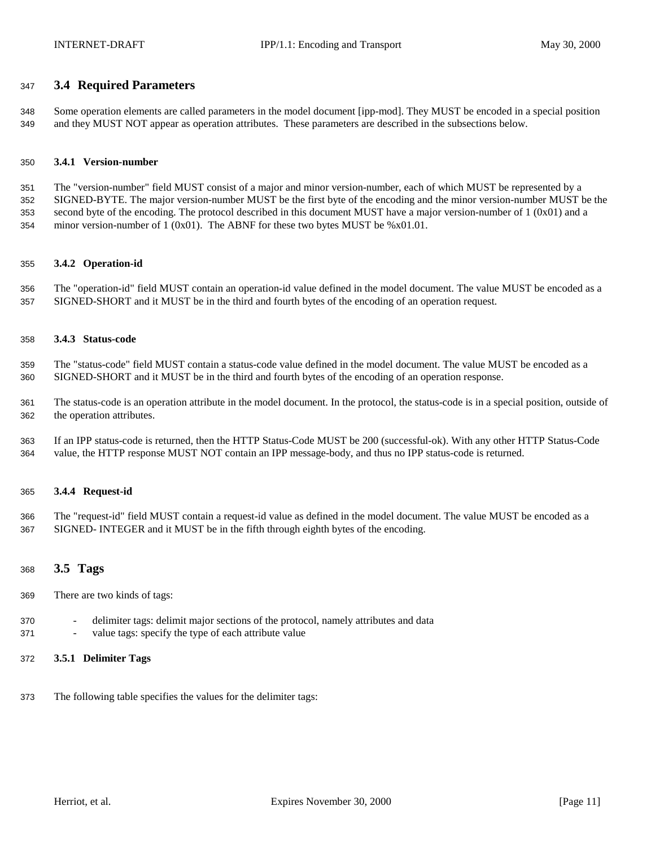## <span id="page-10-0"></span>**3.4 Required Parameters**

 Some operation elements are called parameters in the model document [ipp-mod]. They MUST be encoded in a special position and they MUST NOT appear as operation attributes. These parameters are described in the subsections below.

#### **3.4.1 Version-number**

 The "version-number" field MUST consist of a major and minor version-number, each of which MUST be represented by a SIGNED-BYTE. The major version-number MUST be the first byte of the encoding and the minor version-number MUST be the second byte of the encoding. The protocol described in this document MUST have a major version-number of 1 (0x01) and a 354 minor version-number of 1 (0x01). The ABNF for these two bytes MUST be  $%x01.01$ .

#### **3.4.2 Operation-id**

 The "operation-id" field MUST contain an operation-id value defined in the model document. The value MUST be encoded as a SIGNED-SHORT and it MUST be in the third and fourth bytes of the encoding of an operation request.

#### **3.4.3 Status-code**

 The "status-code" field MUST contain a status-code value defined in the model document. The value MUST be encoded as a SIGNED-SHORT and it MUST be in the third and fourth bytes of the encoding of an operation response.

 The status-code is an operation attribute in the model document. In the protocol, the status-code is in a special position, outside of the operation attributes.

 If an IPP status-code is returned, then the HTTP Status-Code MUST be 200 (successful-ok). With any other HTTP Status-Code value, the HTTP response MUST NOT contain an IPP message-body, and thus no IPP status-code is returned.

#### **3.4.4 Request-id**

 The "request-id" field MUST contain a request-id value as defined in the model document. The value MUST be encoded as a SIGNED- INTEGER and it MUST be in the fifth through eighth bytes of the encoding.

#### **3.5 Tags**

- There are two kinds of tags:
- delimiter tags: delimit major sections of the protocol, namely attributes and data
- value tags: specify the type of each attribute value

#### **3.5.1 Delimiter Tags**

The following table specifies the values for the delimiter tags: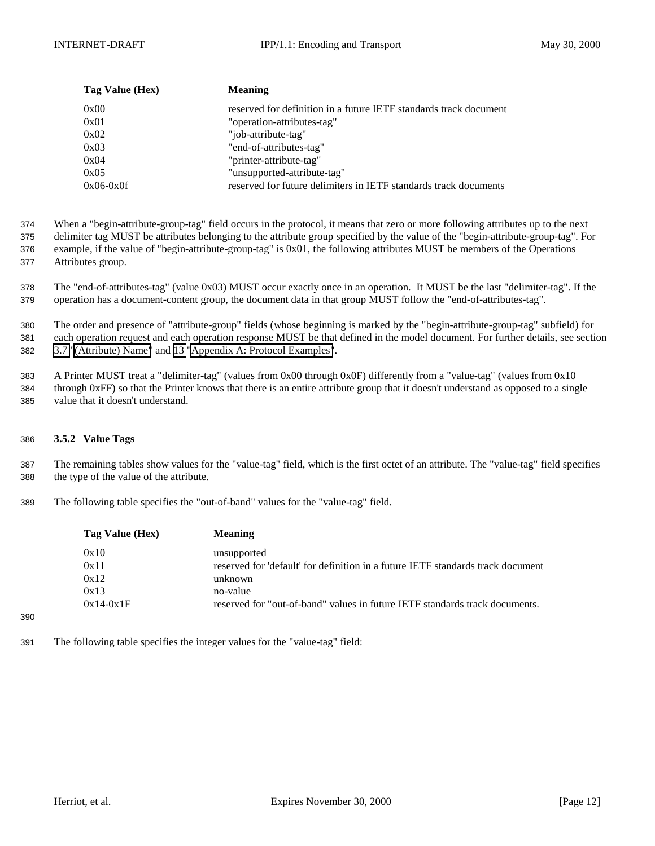<span id="page-11-0"></span>

| Tag Value (Hex) | <b>Meaning</b>                                                    |
|-----------------|-------------------------------------------------------------------|
| 0x00            | reserved for definition in a future IETF standards track document |
| 0x01            | "operation-attributes-tag"                                        |
| 0x02            | "job-attribute-tag"                                               |
| 0x03            | "end-of-attributes-tag"                                           |
| 0x04            | "printer-attribute-tag"                                           |
| 0x05            | "unsupported-attribute-tag"                                       |
| $0x06-0x0f$     | reserved for future delimiters in IETF standards track documents  |

374 When a "begin-attribute-group-tag" field occurs in the protocol, it means that zero or more following attributes up to the next

375 delimiter tag MUST be attributes belonging to the attribute group specified by the value of the "begin-attribute-group-tag". For 376 example, if the value of "begin-attribute-group-tag" is 0x01, the following attributes MUST be members of the Operations 377 Attributes group.

378 The "end-of-attributes-tag" (value 0x03) MUST occur exactly once in an operation. It MUST be the last "delimiter-tag". If the 379 operation has a document-content group, the document data in that group MUST follow the "end-of-attributes-tag".

380 The order and presence of "attribute-group" fields (whose beginning is marked by the "begin-attribute-group-tag" subfield) for 381 each operation request and each operation response MUST be that defined in the model document. For further details, see section 382 [3.7 "\(Attribute\) Name"](#page-13-0) and [13 "Appendix A: Protocol Examples"](#page-23-0).

383 A Printer MUST treat a "delimiter-tag" (values from 0x00 through 0x0F) differently from a "value-tag" (values from 0x10 384 through 0xFF) so that the Printer knows that there is an entire attribute group that it doesn't understand as opposed to a single 385 value that it doesn't understand.

## 386 **3.5.2 Value Tags**

390

387 The remaining tables show values for the "value-tag" field, which is the first octet of an attribute. The "value-tag" field specifies 388 the type of the value of the attribute.

389 The following table specifies the "out-of-band" values for the "value-tag" field.

| Tag Value (Hex) | <b>Meaning</b>                                                                  |
|-----------------|---------------------------------------------------------------------------------|
| 0x10            | unsupported                                                                     |
| 0x11            | reserved for 'default' for definition in a future IETF standards track document |
| 0x12            | unknown                                                                         |
| 0x13            | no-value                                                                        |
| $0x14-0x1F$     | reserved for "out-of-band" values in future IETF standards track documents.     |
|                 |                                                                                 |

391 The following table specifies the integer values for the "value-tag" field: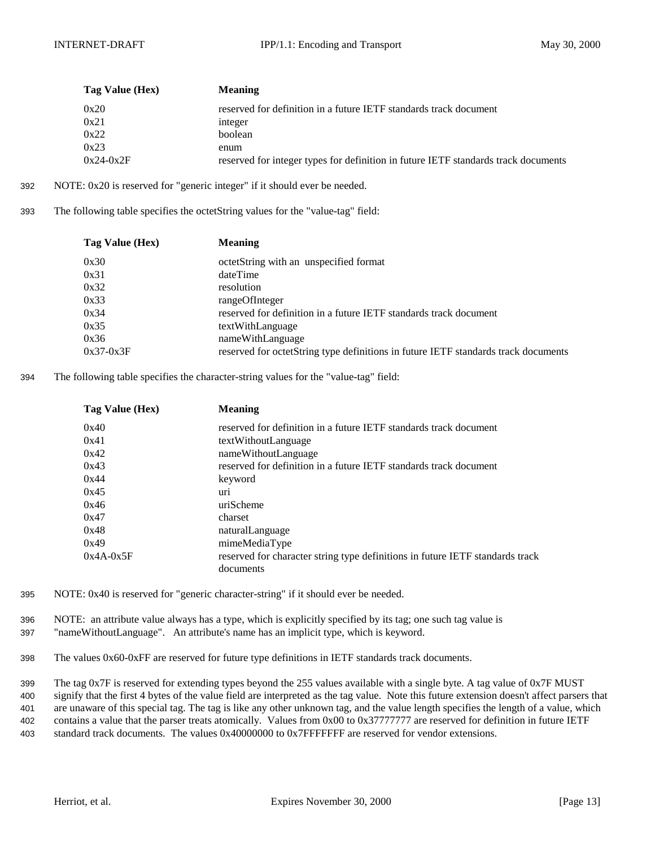| Tag Value (Hex) | <b>Meaning</b>                                                                     |
|-----------------|------------------------------------------------------------------------------------|
| 0x20            | reserved for definition in a future IETF standards track document                  |
| 0x21            | integer                                                                            |
| 0x22            | boolean                                                                            |
| 0x23            | enum                                                                               |
| $0x24-0x2F$     | reserved for integer types for definition in future IETF standards track documents |

- 392 NOTE: 0x20 is reserved for "generic integer" if it should ever be needed.
- 393 The following table specifies the octetString values for the "value-tag" field:

| Tag Value (Hex) | <b>Meaning</b>                                                                     |
|-----------------|------------------------------------------------------------------------------------|
| 0x30            | octetString with an unspecified format                                             |
| 0x31            | dateTime                                                                           |
| 0x32            | resolution                                                                         |
| 0x33            | rangeOfInteger                                                                     |
| 0x34            | reserved for definition in a future IETF standards track document                  |
| 0x35            | textWithLanguage                                                                   |
| 0x36            | nameWithLanguage                                                                   |
| $0x37-0x3F$     | reserved for octetString type definitions in future IETF standards track documents |

394 The following table specifies the character-string values for the "value-tag" field:

| Tag Value (Hex) | Meaning                                                                       |
|-----------------|-------------------------------------------------------------------------------|
| 0x40            | reserved for definition in a future IETF standards track document             |
| 0x41            | textWithoutLanguage                                                           |
| 0x42            | nameWithoutLanguage                                                           |
| 0x43            | reserved for definition in a future IETF standards track document             |
| 0x44            | keyword                                                                       |
| 0x45            | uri                                                                           |
| 0x46            | uriScheme                                                                     |
| 0x47            | charset                                                                       |
| 0x48            | naturalLanguage                                                               |
| 0x49            | mimeMediaType                                                                 |
| $0x4A-0x5F$     | reserved for character string type definitions in future IETF standards track |
|                 | documents                                                                     |

- 395 NOTE: 0x40 is reserved for "generic character-string" if it should ever be needed.
- 396 NOTE: an attribute value always has a type, which is explicitly specified by its tag; one such tag value is 397 "nameWithoutLanguage". An attribute's name has an implicit type, which is keyword.
- 398 The values 0x60-0xFF are reserved for future type definitions in IETF standards track documents.

 The tag 0x7F is reserved for extending types beyond the 255 values available with a single byte. A tag value of 0x7F MUST signify that the first 4 bytes of the value field are interpreted as the tag value. Note this future extension doesn't affect parsers that are unaware of this special tag. The tag is like any other unknown tag, and the value length specifies the length of a value, which contains a value that the parser treats atomically. Values from 0x00 to 0x37777777 are reserved for definition in future IETF standard track documents. The values 0x40000000 to 0x7FFFFFFF are reserved for vendor extensions.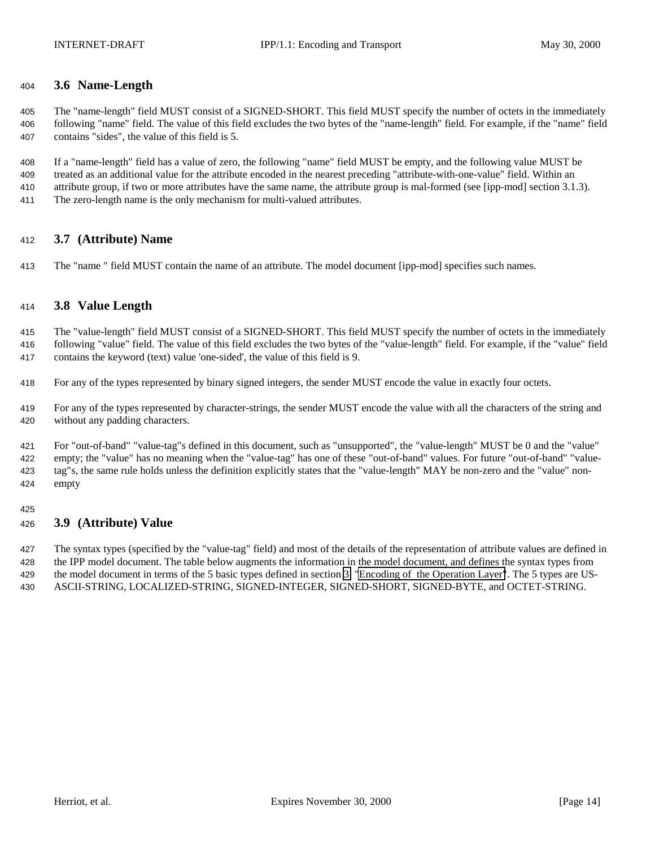## <span id="page-13-0"></span>**3.6 Name-Length**

 The "name-length" field MUST consist of a SIGNED-SHORT. This field MUST specify the number of octets in the immediately following "name" field. The value of this field excludes the two bytes of the "name-length" field. For example, if the "name" field contains "sides", the value of this field is 5.

 If a "name-length" field has a value of zero, the following "name" field MUST be empty, and the following value MUST be treated as an additional value for the attribute encoded in the nearest preceding "attribute-with-one-value" field. Within an attribute group, if two or more attributes have the same name, the attribute group is mal-formed (see [ipp-mod] section 3.1.3). The zero-length name is the only mechanism for multi-valued attributes.

## **3.7 (Attribute) Name**

The "name " field MUST contain the name of an attribute. The model document [ipp-mod] specifies such names.

## **3.8 Value Length**

 The "value-length" field MUST consist of a SIGNED-SHORT. This field MUST specify the number of octets in the immediately following "value" field. The value of this field excludes the two bytes of the "value-length" field. For example, if the "value" field contains the keyword (text) value 'one-sided', the value of this field is 9.

For any of the types represented by binary signed integers, the sender MUST encode the value in exactly four octets.

 For any of the types represented by character-strings, the sender MUST encode the value with all the characters of the string and without any padding characters.

 For "out-of-band" "value-tag"s defined in this document, such as "unsupported", the "value-length" MUST be 0 and the "value" empty; the "value" has no meaning when the "value-tag" has one of these "out-of-band" values. For future "out-of-band" "value- tag"s, the same rule holds unless the definition explicitly states that the "value-length" MAY be non-zero and the "value" non-empty

## **3.9 (Attribute) Value**

 The syntax types (specified by the "value-tag" field) and most of the details of the representation of attribute values are defined in the IPP model document. The table below augments the information in the model document, and defines the syntax types from the model document in terms of the 5 basic types defined in section [3 "Encoding of the Operation Layer"](#page-4-0). The 5 types are US-ASCII-STRING, LOCALIZED-STRING, SIGNED-INTEGER, SIGNED-SHORT, SIGNED-BYTE, and OCTET-STRING.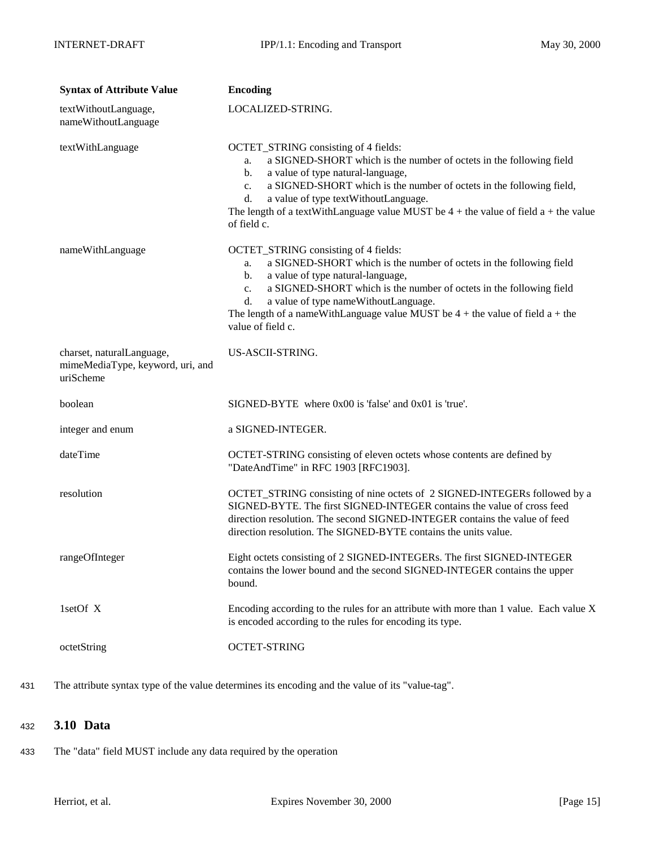<span id="page-14-0"></span>

| <b>Syntax of Attribute Value</b>                                           | <b>Encoding</b>                                                                                                                                                                                                                                                                                                                                                                                   |
|----------------------------------------------------------------------------|---------------------------------------------------------------------------------------------------------------------------------------------------------------------------------------------------------------------------------------------------------------------------------------------------------------------------------------------------------------------------------------------------|
| textWithoutLanguage,<br>nameWithoutLanguage                                | LOCALIZED-STRING.                                                                                                                                                                                                                                                                                                                                                                                 |
| textWithLanguage                                                           | OCTET_STRING consisting of 4 fields:<br>a SIGNED-SHORT which is the number of octets in the following field<br>a.<br>a value of type natural-language,<br>b.<br>a SIGNED-SHORT which is the number of octets in the following field,<br>c.<br>a value of type textWithoutLanguage.<br>d.<br>The length of a textWithLanguage value MUST be $4 +$ the value of field a + the value<br>of field c.  |
| nameWithLanguage                                                           | OCTET_STRING consisting of 4 fields:<br>a SIGNED-SHORT which is the number of octets in the following field<br>a.<br>a value of type natural-language,<br>b.<br>a SIGNED-SHORT which is the number of octets in the following field<br>c.<br>a value of type nameWithoutLanguage.<br>d.<br>The length of a nameWithLanguage value MUST be $4 +$ the value of field $a +$ the<br>value of field c. |
| charset, naturalLanguage,<br>mimeMediaType, keyword, uri, and<br>uriScheme | US-ASCII-STRING.                                                                                                                                                                                                                                                                                                                                                                                  |
| boolean                                                                    | $SIGNED-BYTE$ where $0x00$ is 'false' and $0x01$ is 'true'.                                                                                                                                                                                                                                                                                                                                       |
| integer and enum                                                           | a SIGNED-INTEGER.                                                                                                                                                                                                                                                                                                                                                                                 |
| dateTime                                                                   | OCTET-STRING consisting of eleven octets whose contents are defined by<br>"DateAndTime" in RFC 1903 [RFC1903].                                                                                                                                                                                                                                                                                    |
| resolution                                                                 | OCTET_STRING consisting of nine octets of 2 SIGNED-INTEGERs followed by a<br>SIGNED-BYTE. The first SIGNED-INTEGER contains the value of cross feed<br>direction resolution. The second SIGNED-INTEGER contains the value of feed<br>direction resolution. The SIGNED-BYTE contains the units value.                                                                                              |
| rangeOfInteger                                                             | Eight octets consisting of 2 SIGNED-INTEGERs. The first SIGNED-INTEGER<br>contains the lower bound and the second SIGNED-INTEGER contains the upper<br>bound.                                                                                                                                                                                                                                     |
| 1setOf X                                                                   | Encoding according to the rules for an attribute with more than 1 value. Each value X<br>is encoded according to the rules for encoding its type.                                                                                                                                                                                                                                                 |
| octetString                                                                | <b>OCTET-STRING</b>                                                                                                                                                                                                                                                                                                                                                                               |

431 The attribute syntax type of the value determines its encoding and the value of its "value-tag".

# <sup>432</sup> **3.10 Data**

433 The "data" field MUST include any data required by the operation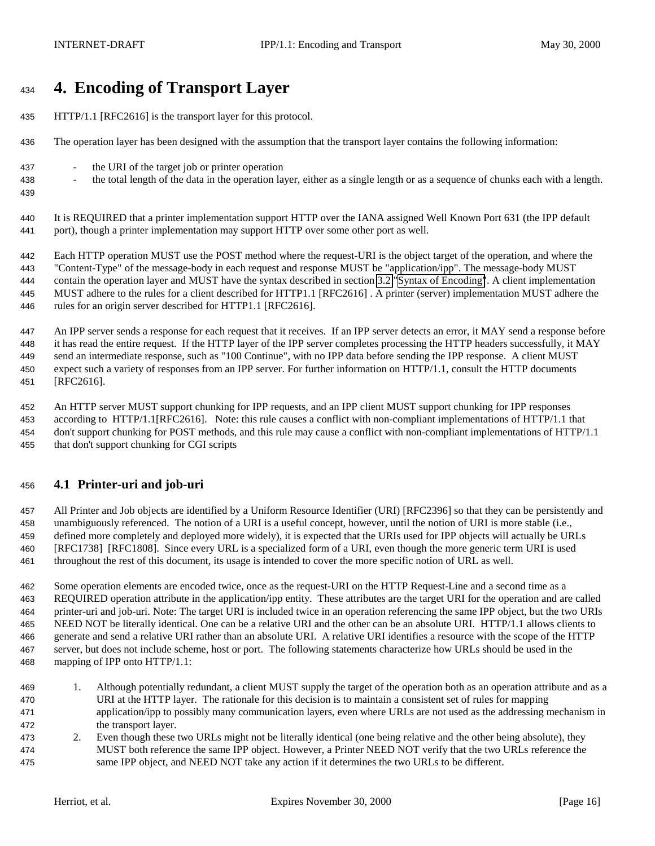# <span id="page-15-0"></span>**4. Encoding of Transport Layer**

- HTTP/1.1 [RFC2616] is the transport layer for this protocol.
- The operation layer has been designed with the assumption that the transport layer contains the following information:
- the URI of the target job or printer operation
- the total length of the data in the operation layer, either as a single length or as a sequence of chunks each with a length.
- 

 It is REQUIRED that a printer implementation support HTTP over the IANA assigned Well Known Port 631 (the IPP default port), though a printer implementation may support HTTP over some other port as well.

 Each HTTP operation MUST use the POST method where the request-URI is the object target of the operation, and where the "Content-Type" of the message-body in each request and response MUST be "application/ipp". The message-body MUST contain the operation layer and MUST have the syntax described in section [3.2 "Syntax of Encoding"](#page-8-0). A client implementation MUST adhere to the rules for a client described for HTTP1.1 [RFC2616] . A printer (server) implementation MUST adhere the rules for an origin server described for HTTP1.1 [RFC2616].

 An IPP server sends a response for each request that it receives. If an IPP server detects an error, it MAY send a response before it has read the entire request. If the HTTP layer of the IPP server completes processing the HTTP headers successfully, it MAY send an intermediate response, such as "100 Continue", with no IPP data before sending the IPP response. A client MUST expect such a variety of responses from an IPP server. For further information on HTTP/1.1, consult the HTTP documents [RFC2616].

 An HTTP server MUST support chunking for IPP requests, and an IPP client MUST support chunking for IPP responses according to HTTP/1.1[RFC2616]. Note: this rule causes a conflict with non-compliant implementations of HTTP/1.1 that don't support chunking for POST methods, and this rule may cause a conflict with non-compliant implementations of HTTP/1.1 that don't support chunking for CGI scripts

# **4.1 Printer-uri and job-uri**

 All Printer and Job objects are identified by a Uniform Resource Identifier (URI) [RFC2396] so that they can be persistently and unambiguously referenced. The notion of a URI is a useful concept, however, until the notion of URI is more stable (i.e., defined more completely and deployed more widely), it is expected that the URIs used for IPP objects will actually be URLs [RFC1738] [RFC1808]. Since every URL is a specialized form of a URI, even though the more generic term URI is used throughout the rest of this document, its usage is intended to cover the more specific notion of URL as well.

 Some operation elements are encoded twice, once as the request-URI on the HTTP Request-Line and a second time as a REQUIRED operation attribute in the application/ipp entity. These attributes are the target URI for the operation and are called printer-uri and job-uri. Note: The target URI is included twice in an operation referencing the same IPP object, but the two URIs NEED NOT be literally identical. One can be a relative URI and the other can be an absolute URI. HTTP/1.1 allows clients to generate and send a relative URI rather than an absolute URI. A relative URI identifies a resource with the scope of the HTTP server, but does not include scheme, host or port. The following statements characterize how URLs should be used in the mapping of IPP onto HTTP/1.1:

- 1. Although potentially redundant, a client MUST supply the target of the operation both as an operation attribute and as a URI at the HTTP layer. The rationale for this decision is to maintain a consistent set of rules for mapping application/ipp to possibly many communication layers, even where URLs are not used as the addressing mechanism in the transport layer.
- 2. Even though these two URLs might not be literally identical (one being relative and the other being absolute), they MUST both reference the same IPP object. However, a Printer NEED NOT verify that the two URLs reference the same IPP object, and NEED NOT take any action if it determines the two URLs to be different.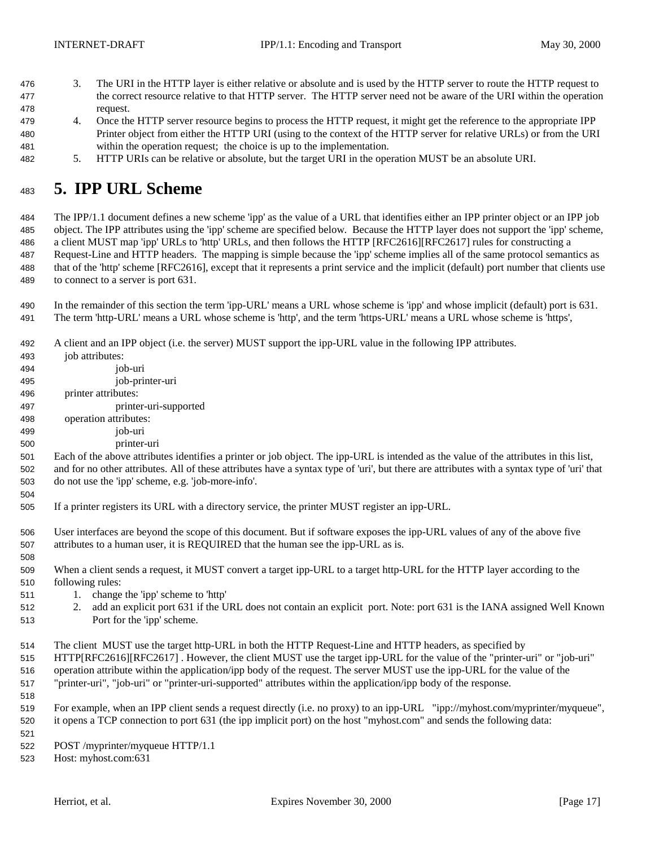- <span id="page-16-0"></span> 3. The URI in the HTTP layer is either relative or absolute and is used by the HTTP server to route the HTTP request to the correct resource relative to that HTTP server. The HTTP server need not be aware of the URI within the operation request.
- 4. Once the HTTP server resource begins to process the HTTP request, it might get the reference to the appropriate IPP Printer object from either the HTTP URI (using to the context of the HTTP server for relative URLs) or from the URI within the operation request; the choice is up to the implementation.
- 5. HTTP URIs can be relative or absolute, but the target URI in the operation MUST be an absolute URI.

# **5. IPP URL Scheme**

 The IPP/1.1 document defines a new scheme 'ipp' as the value of a URL that identifies either an IPP printer object or an IPP job object. The IPP attributes using the 'ipp' scheme are specified below. Because the HTTP layer does not support the 'ipp' scheme, a client MUST map 'ipp' URLs to 'http' URLs, and then follows the HTTP [RFC2616][RFC2617] rules for constructing a Request-Line and HTTP headers. The mapping is simple because the 'ipp' scheme implies all of the same protocol semantics as that of the 'http' scheme [RFC2616], except that it represents a print service and the implicit (default) port number that clients use to connect to a server is port 631.

- In the remainder of this section the term 'ipp-URL' means a URL whose scheme is 'ipp' and whose implicit (default) port is 631. The term 'http-URL' means a URL whose scheme is 'http', and the term 'https-URL' means a URL whose scheme is 'https',
- A client and an IPP object (i.e. the server) MUST support the ipp-URL value in the following IPP attributes.
- 493 iob attributes: job-uri job-printer-uri printer attributes: printer-uri-supported operation attributes: job-uri printer-uri Each of the above attributes identifies a printer or job object. The ipp-URL is intended as the value of the attributes in this list, and for no other attributes. All of these attributes have a syntax type of 'uri', but there are attributes with a syntax type of 'uri' that do not use the 'ipp' scheme, e.g. 'job-more-info'. If a printer registers its URL with a directory service, the printer MUST register an ipp-URL. User interfaces are beyond the scope of this document. But if software exposes the ipp-URL values of any of the above five attributes to a human user, it is REQUIRED that the human see the ipp-URL as is. When a client sends a request, it MUST convert a target ipp-URL to a target http-URL for the HTTP layer according to the following rules: 511 1. change the 'ipp' scheme to 'http' 2. add an explicit port 631 if the URL does not contain an explicit port. Note: port 631 is the IANA assigned Well Known Port for the 'ipp' scheme. The client MUST use the target http-URL in both the HTTP Request-Line and HTTP headers, as specified by HTTP[RFC2616][RFC2617] . However, the client MUST use the target ipp-URL for the value of the "printer-uri" or "job-uri" operation attribute within the application/ipp body of the request. The server MUST use the ipp-URL for the value of the "printer-uri", "job-uri" or "printer-uri-supported" attributes within the application/ipp body of the response. For example, when an IPP client sends a request directly (i.e. no proxy) to an ipp-URL "ipp://myhost.com/myprinter/myqueue", it opens a TCP connection to port 631 (the ipp implicit port) on the host "myhost.com" and sends the following data: POST /myprinter/myqueue HTTP/1.1 Host: myhost.com:631
	-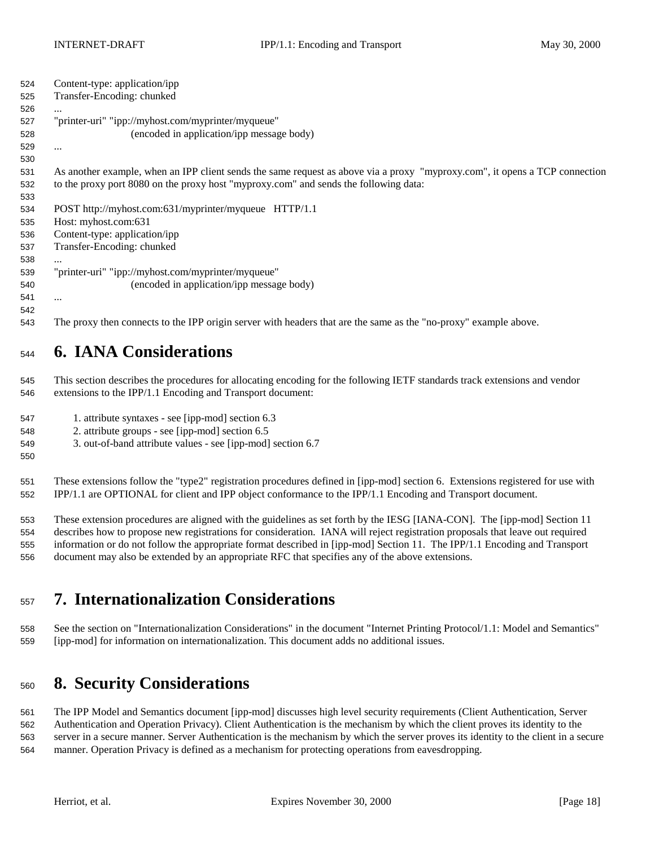<span id="page-17-0"></span>

| 524 | Content-type: application/ipp                                                                                               |
|-----|-----------------------------------------------------------------------------------------------------------------------------|
| 525 | Transfer-Encoding: chunked                                                                                                  |
| 526 | $\cdots$                                                                                                                    |
| 527 | "printer-uri" "ipp://myhost.com/myprinter/myqueue"                                                                          |
| 528 | (encoded in application/ipp message body)                                                                                   |
| 529 |                                                                                                                             |
| 530 |                                                                                                                             |
| 531 | As another example, when an IPP client sends the same request as above via a proxy "myproxy.com", it opens a TCP connection |
| 532 | to the proxy port 8080 on the proxy host "myproxy.com" and sends the following data:                                        |
| 533 |                                                                                                                             |
| 534 | POST http://myhost.com:631/myprinter/myqueue HTTP/1.1                                                                       |
| 535 | Host: myhost.com:631                                                                                                        |
| 536 | Content-type: application/ipp                                                                                               |
| 537 | Transfer-Encoding: chunked                                                                                                  |
| 538 | $\cdots$                                                                                                                    |
| 539 | "printer-uri" "ipp://myhost.com/myprinter/myqueue"                                                                          |
| 540 | (encoded in application/ipp message body)                                                                                   |
| 541 | $\cdots$                                                                                                                    |
| 542 |                                                                                                                             |
| 543 | The proxy then connects to the IPP origin server with headers that are the same as the "no-proxy" example above.            |

# **6. IANA Considerations**

 This section describes the procedures for allocating encoding for the following IETF standards track extensions and vendor extensions to the IPP/1.1 Encoding and Transport document:

- 1. attribute syntaxes see [ipp-mod] section 6.3
- 2. attribute groups see [ipp-mod] section 6.5

3. out-of-band attribute values - see [ipp-mod] section 6.7

 These extensions follow the "type2" registration procedures defined in [ipp-mod] section 6. Extensions registered for use with IPP/1.1 are OPTIONAL for client and IPP object conformance to the IPP/1.1 Encoding and Transport document.

 These extension procedures are aligned with the guidelines as set forth by the IESG [IANA-CON]. The [ipp-mod] Section 11 describes how to propose new registrations for consideration. IANA will reject registration proposals that leave out required information or do not follow the appropriate format described in [ipp-mod] Section 11. The IPP/1.1 Encoding and Transport document may also be extended by an appropriate RFC that specifies any of the above extensions.

# **7. Internationalization Considerations**

 See the section on "Internationalization Considerations" in the document "Internet Printing Protocol/1.1: Model and Semantics" [ipp-mod] for information on internationalization. This document adds no additional issues.

# **8. Security Considerations**

 The IPP Model and Semantics document [ipp-mod] discusses high level security requirements (Client Authentication, Server Authentication and Operation Privacy). Client Authentication is the mechanism by which the client proves its identity to the server in a secure manner. Server Authentication is the mechanism by which the server proves its identity to the client in a secure manner. Operation Privacy is defined as a mechanism for protecting operations from eavesdropping.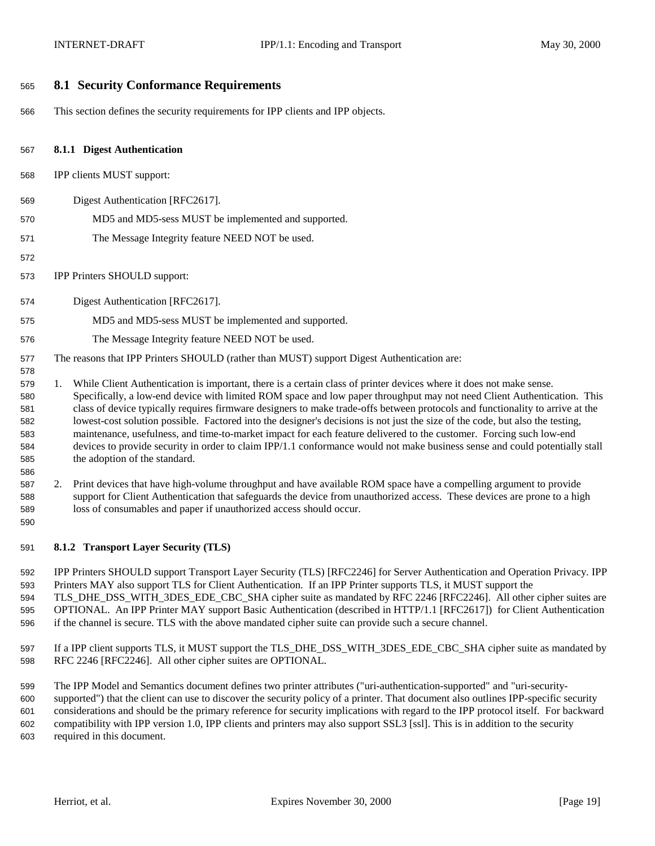## <span id="page-18-0"></span>**8.1 Security Conformance Requirements**

This section defines the security requirements for IPP clients and IPP objects.

#### **8.1.1 Digest Authentication**

- IPP clients MUST support:
- Digest Authentication [RFC2617].
- MD5 and MD5-sess MUST be implemented and supported.
- The Message Integrity feature NEED NOT be used.
- 
- IPP Printers SHOULD support:
- Digest Authentication [RFC2617].
- MD5 and MD5-sess MUST be implemented and supported.
- The Message Integrity feature NEED NOT be used.
- The reasons that IPP Printers SHOULD (rather than MUST) support Digest Authentication are:
- 1. While Client Authentication is important, there is a certain class of printer devices where it does not make sense. Specifically, a low-end device with limited ROM space and low paper throughput may not need Client Authentication. This class of device typically requires firmware designers to make trade-offs between protocols and functionality to arrive at the lowest-cost solution possible. Factored into the designer's decisions is not just the size of the code, but also the testing, maintenance, usefulness, and time-to-market impact for each feature delivered to the customer. Forcing such low-end devices to provide security in order to claim IPP/1.1 conformance would not make business sense and could potentially stall the adoption of the standard.
- 2. Print devices that have high-volume throughput and have available ROM space have a compelling argument to provide support for Client Authentication that safeguards the device from unauthorized access. These devices are prone to a high loss of consumables and paper if unauthorized access should occur.
- 

**8.1.2 Transport Layer Security (TLS)**

 IPP Printers SHOULD support Transport Layer Security (TLS) [RFC2246] for Server Authentication and Operation Privacy. IPP Printers MAY also support TLS for Client Authentication. If an IPP Printer supports TLS, it MUST support the 594 TLS DHE DSS WITH 3DES EDE CBC SHA cipher suite as mandated by RFC 2246 [RFC2246]. All other cipher suites are OPTIONAL. An IPP Printer MAY support Basic Authentication (described in HTTP/1.1 [RFC2617]) for Client Authentication if the channel is secure. TLS with the above mandated cipher suite can provide such a secure channel.

597 If a IPP client supports TLS, it MUST support the TLS\_DHE\_DSS\_WITH\_3DES\_EDE\_CBC\_SHA cipher suite as mandated by RFC 2246 [RFC2246]. All other cipher suites are OPTIONAL.

 The IPP Model and Semantics document defines two printer attributes ("uri-authentication-supported" and "uri-security- supported") that the client can use to discover the security policy of a printer. That document also outlines IPP-specific security considerations and should be the primary reference for security implications with regard to the IPP protocol itself. For backward compatibility with IPP version 1.0, IPP clients and printers may also support SSL3 [ssl]. This is in addition to the security required in this document.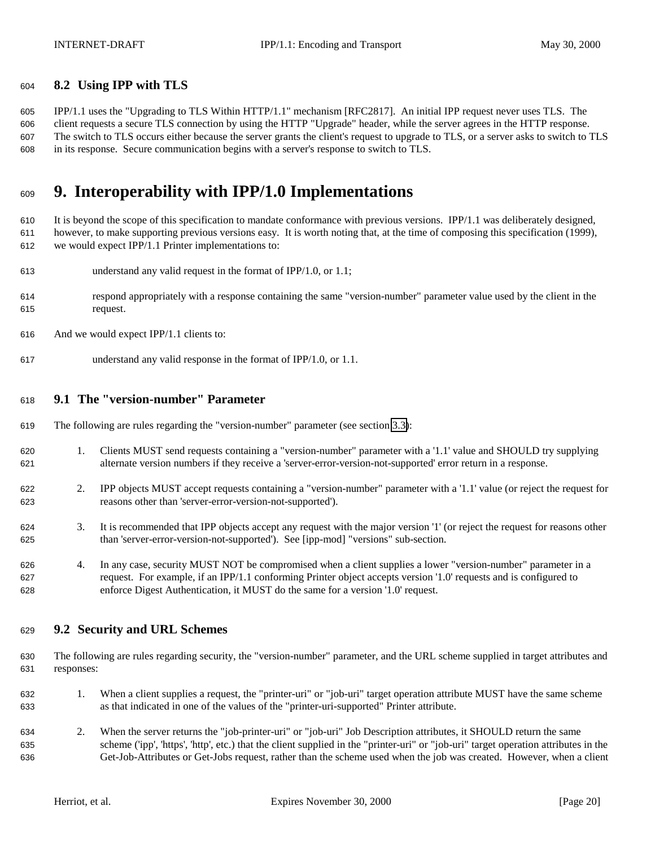## <span id="page-19-0"></span>**8.2 Using IPP with TLS**

 IPP/1.1 uses the "Upgrading to TLS Within HTTP/1.1" mechanism [RFC2817]. An initial IPP request never uses TLS. The client requests a secure TLS connection by using the HTTP "Upgrade" header, while the server agrees in the HTTP response. The switch to TLS occurs either because the server grants the client's request to upgrade to TLS, or a server asks to switch to TLS in its response. Secure communication begins with a server's response to switch to TLS.

# **9. Interoperability with IPP/1.0 Implementations**

 It is beyond the scope of this specification to mandate conformance with previous versions. IPP/1.1 was deliberately designed, however, to make supporting previous versions easy. It is worth noting that, at the time of composing this specification (1999), we would expect IPP/1.1 Printer implementations to:

- understand any valid request in the format of IPP/1.0, or 1.1;
- respond appropriately with a response containing the same "version-number" parameter value used by the client in the request.
- And we would expect IPP/1.1 clients to:
- understand any valid response in the format of IPP/1.0, or 1.1.

## **9.1 The "version-number" Parameter**

- The following are rules regarding the "version-number" parameter (see section [3.3\)](#page-10-0):
- 1. Clients MUST send requests containing a "version-number" parameter with a '1.1' value and SHOULD try supplying alternate version numbers if they receive a 'server-error-version-not-supported' error return in a response.
- 2. IPP objects MUST accept requests containing a "version-number" parameter with a '1.1' value (or reject the request for reasons other than 'server-error-version-not-supported').
- 3. It is recommended that IPP objects accept any request with the major version '1' (or reject the request for reasons other than 'server-error-version-not-supported'). See [ipp-mod] "versions" sub-section.
- 4. In any case, security MUST NOT be compromised when a client supplies a lower "version-number" parameter in a request. For example, if an IPP/1.1 conforming Printer object accepts version '1.0' requests and is configured to enforce Digest Authentication, it MUST do the same for a version '1.0' request.

## **9.2 Security and URL Schemes**

- The following are rules regarding security, the "version-number" parameter, and the URL scheme supplied in target attributes and responses:
- 1. When a client supplies a request, the "printer-uri" or "job-uri" target operation attribute MUST have the same scheme as that indicated in one of the values of the "printer-uri-supported" Printer attribute.
- 2. When the server returns the "job-printer-uri" or "job-uri" Job Description attributes, it SHOULD return the same scheme ('ipp', 'https', 'http', etc.) that the client supplied in the "printer-uri" or "job-uri" target operation attributes in the Get-Job-Attributes or Get-Jobs request, rather than the scheme used when the job was created. However, when a client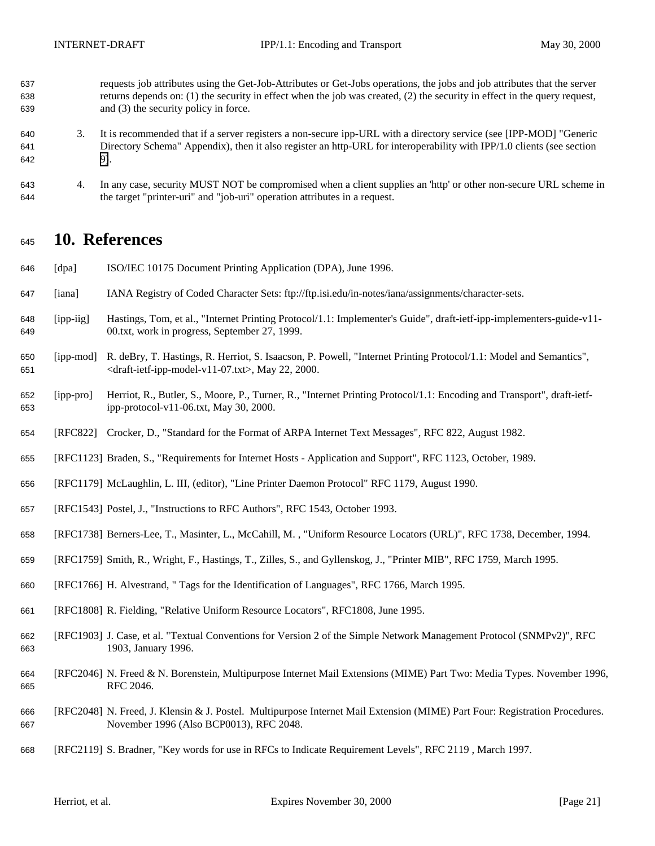- <span id="page-20-0"></span> requests job attributes using the Get-Job-Attributes or Get-Jobs operations, the jobs and job attributes that the server returns depends on: (1) the security in effect when the job was created, (2) the security in effect in the query request, and (3) the security policy in force.
- 3. It is recommended that if a server registers a non-secure ipp-URL with a directory service (see [IPP-MOD] "Generic Directory Schema" Appendix), then it also register an http-URL for interoperability with IPP/1.0 clients (see section [9\)](#page-19-0).
- 4. In any case, security MUST NOT be compromised when a client supplies an 'http' or other non-secure URL scheme in the target "printer-uri" and "job-uri" operation attributes in a request.

# **10. References**

- [dpa] ISO/IEC 10175 Document Printing Application (DPA), June 1996.
- [iana] IANA Registry of Coded Character Sets: ftp://ftp.isi.edu/in-notes/iana/assignments/character-sets.
- [ipp-iig] Hastings, Tom, et al., "Internet Printing Protocol/1.1: Implementer's Guide", draft-ietf-ipp-implementers-guide-v11- 00.txt, work in progress, September 27, 1999.
- [ipp-mod] R. deBry, T. Hastings, R. Herriot, S. Isaacson, P. Powell, "Internet Printing Protocol/1.1: Model and Semantics", <draft-ietf-ipp-model-v11-07.txt>, May 22, 2000.
- [ipp-pro] Herriot, R., Butler, S., Moore, P., Turner, R., "Internet Printing Protocol/1.1: Encoding and Transport", draft-ietf-ipp-protocol-v11-06.txt, May 30, 2000.
- [RFC822] Crocker, D., "Standard for the Format of ARPA Internet Text Messages", RFC 822, August 1982.
- [RFC1123] Braden, S., "Requirements for Internet Hosts Application and Support", RFC 1123, October, 1989.
- [RFC1179] McLaughlin, L. III, (editor), "Line Printer Daemon Protocol" RFC 1179, August 1990.
- [RFC1543] Postel, J., "Instructions to RFC Authors", RFC 1543, October 1993.
- [RFC1738] Berners-Lee, T., Masinter, L., McCahill, M. , "Uniform Resource Locators (URL)", RFC 1738, December, 1994.
- [RFC1759] Smith, R., Wright, F., Hastings, T., Zilles, S., and Gyllenskog, J., "Printer MIB", RFC 1759, March 1995.
- [RFC1766] H. Alvestrand, " Tags for the Identification of Languages", RFC 1766, March 1995.
- [RFC1808] R. Fielding, "Relative Uniform Resource Locators", RFC1808, June 1995.
- [RFC1903] J. Case, et al. "Textual Conventions for Version 2 of the Simple Network Management Protocol (SNMPv2)", RFC 1903, January 1996.
- [RFC2046] N. Freed & N. Borenstein, Multipurpose Internet Mail Extensions (MIME) Part Two: Media Types. November 1996, RFC 2046.
- [RFC2048] N. Freed, J. Klensin & J. Postel. Multipurpose Internet Mail Extension (MIME) Part Four: Registration Procedures. November 1996 (Also BCP0013), RFC 2048.
- [RFC2119] S. Bradner, "Key words for use in RFCs to Indicate Requirement Levels", RFC 2119 , March 1997.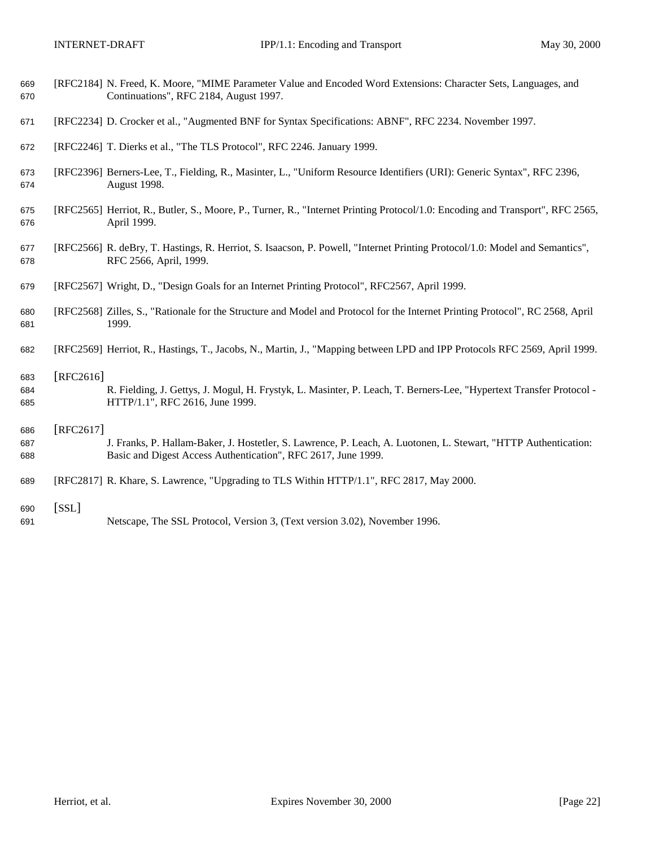| 669 | [RFC2184] N. Freed, K. Moore, "MIME Parameter Value and Encoded Word Extensions: Character Sets, Languages, and |
|-----|-----------------------------------------------------------------------------------------------------------------|
| 670 | Continuations", RFC 2184, August 1997.                                                                          |

- [RFC2234] D. Crocker et al., "Augmented BNF for Syntax Specifications: ABNF", RFC 2234. November 1997.
- [RFC2246] T. Dierks et al., "The TLS Protocol", RFC 2246. January 1999.
- [RFC2396] Berners-Lee, T., Fielding, R., Masinter, L., "Uniform Resource Identifiers (URI): Generic Syntax", RFC 2396, August 1998.
- [RFC2565] Herriot, R., Butler, S., Moore, P., Turner, R., "Internet Printing Protocol/1.0: Encoding and Transport", RFC 2565, April 1999.
- [RFC2566] R. deBry, T. Hastings, R. Herriot, S. Isaacson, P. Powell, "Internet Printing Protocol/1.0: Model and Semantics", RFC 2566, April, 1999.
- [RFC2567] Wright, D., "Design Goals for an Internet Printing Protocol", RFC2567, April 1999.
- [RFC2568] Zilles, S., "Rationale for the Structure and Model and Protocol for the Internet Printing Protocol", RC 2568, April 1999.
- [RFC2569] Herriot, R., Hastings, T., Jacobs, N., Martin, J., "Mapping between LPD and IPP Protocols RFC 2569, April 1999.
- [RFC2616]
- R. Fielding, J. Gettys, J. Mogul, H. Frystyk, L. Masinter, P. Leach, T. Berners-Lee, "Hypertext Transfer Protocol HTTP/1.1", RFC 2616, June 1999.

#### [RFC2617]

- J. Franks, P. Hallam-Baker, J. Hostetler, S. Lawrence, P. Leach, A. Luotonen, L. Stewart, "HTTP Authentication: Basic and Digest Access Authentication", RFC 2617, June 1999.
- [RFC2817] R. Khare, S. Lawrence, "Upgrading to TLS Within HTTP/1.1", RFC 2817, May 2000.
- [SSL]
- Netscape, The SSL Protocol, Version 3, (Text version 3.02), November 1996.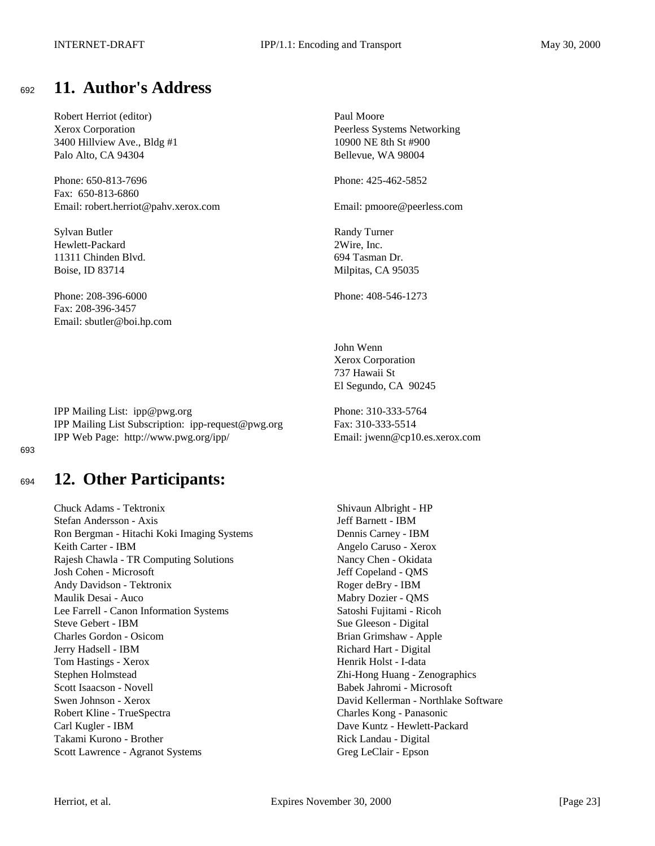# <span id="page-22-0"></span><sup>692</sup> **11. Author's Address**

Robert Herriot (editor) Paul Moore 3400 Hillview Ave., Bldg #1 10900 NE 8th St #900 Palo Alto, CA 94304 Bellevue, WA 98004

Phone: 650-813-7696 Phone: 425-462-5852 Fax: 650-813-6860 Email: robert.herriot@pahv.xerox.com Email: pmoore@peerless.com

Sylvan Butler Randy Turner Hewlett-Packard 2Wire, Inc. 11311 Chinden Blvd. 694 Tasman Dr. Boise, ID 83714 Milpitas, CA 95035

Phone: 208-396-6000 Phone: 408-546-1273 Fax: 208-396-3457 Email: sbutler@boi.hp.com

IPP Mailing List: ipp@pwg.org Phone: 310-333-5764 IPP Mailing List Subscription: ipp-request@pwg.org Fax: 310-333-5514 IPP Web Page: http://www.pwg.org/ipp/ Email: jwenn@cp10.es.xerox.com

693

# <sup>694</sup> **12. Other Participants:**

Chuck Adams - Tektronix Shivaun Albright - HP Stefan Andersson - Axis Jeff Barnett - IBM Ron Bergman - Hitachi Koki Imaging Systems Dennis Carney - IBM Keith Carter - IBM Angelo Caruso - Xerox Rajesh Chawla - TR Computing Solutions Nancy Chen - Okidata Josh Cohen - Microsoft Jeff Copeland - QMS Andy Davidson - Tektronix Roger deBry - IBM Maulik Desai - Auco Mabry Dozier - QMS Lee Farrell - Canon Information Systems Satoshi Fujitami - Ricoh Steve Gebert - IBM Sue Gleeson - Digital Charles Gordon - Osicom Brian Grimshaw - Apple Jerry Hadsell - IBM Richard Hart - Digital Tom Hastings - Xerox Henrik Holst - I-data Stephen Holmstead Zhi-Hong Huang - Zenographics Scott Isaacson - Novell Babek Jahromi - Microsoft Babek Jahromi - Microsoft Swen Johnson - Xerox David Kellerman - Northlake Software Robert Kline - TrueSpectra **Charles Kong - Panasonic** Carl Kugler - IBM Dave Kuntz - Hewlett-Packard Takami Kurono - Brother Rick Landau - Digital Scott Lawrence - Agranot Systems Greg LeClair - Epson

Xerox Corporation Peerless Systems Networking

John Wenn Xerox Corporation 737 Hawaii St El Segundo, CA 90245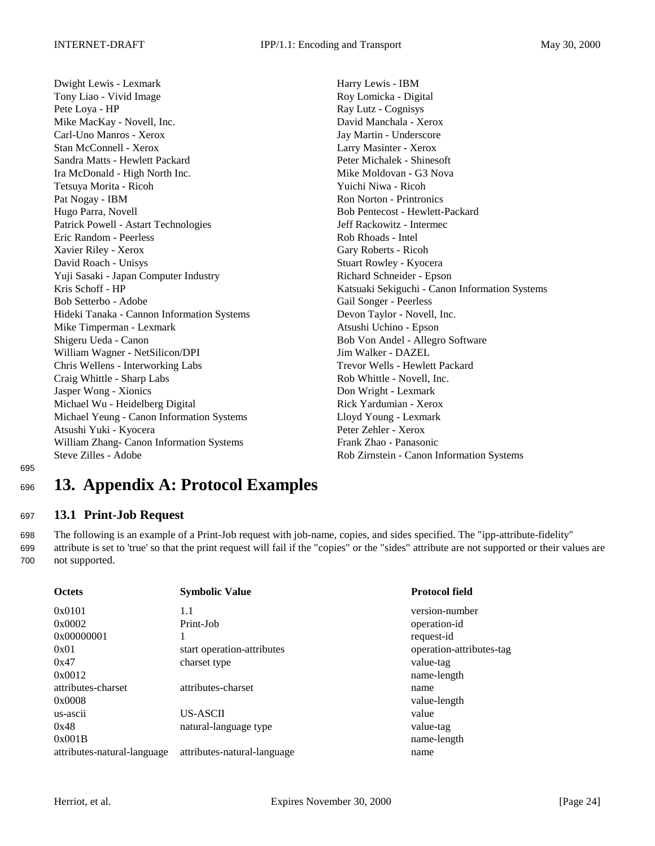<span id="page-23-0"></span>Dwight Lewis - Lexmark Harry Lewis - IBM Tony Liao - Vivid Image Roy Lomicka - Digital Pete Loya - HP Ray Lutz - Cognisys Mike MacKay - Novell, Inc. **David Manchala - Xerox** David Manchala - Xerox Carl-Uno Manros - Xerox Jay Martin - Underscore Stan McConnell - Xerox Larry Masinter - Xerox Sandra Matts - Hewlett Packard **Peter Michalek - Shinesoft** Peter Michalek - Shinesoft Ira McDonald - High North Inc. Mike Moldovan - G3 Nova Tetsuya Morita - Ricoh Yuichi Niwa - Ricoh Pat Nogay - IBM Ron Norton - Printronics Hugo Parra, Novell Bob Pentecost - Hewlett-Packard Patrick Powell - Astart Technologies Jeff Rackowitz - Intermec Eric Random - Peerless Rob Rhoads - Intel Xavier Riley - Xerox Gary Roberts - Ricoh David Roach - Unisys Stuart Rowley - Kyocera Yuji Sasaki - Japan Computer Industry Richard Schneider - Epson Bob Setterbo - Adobe Gail Songer - Peerless Hideki Tanaka - Cannon Information Systems Devon Taylor - Novell, Inc. Mike Timperman - Lexmark Atsushi Uchino - Epson Shigeru Ueda - Canon Bob Von Andel - Allegro Software William Wagner - NetSilicon/DPI Jim Walker - DAZEL Chris Wellens - Interworking Labs Trevor Wells - Hewlett Packard Craig Whittle - Sharp Labs Rob Whittle - Novell, Inc. Jasper Wong - Xionics Don Wright - Lexmark Michael Wu - Heidelberg Digital Rick Yardumian - Xerox Michael Yeung - Canon Information Systems Lloyd Young - Lexmark Atsushi Yuki - Kyocera Peter Zehler - Xerox William Zhang- Canon Information Systems Frank Zhao - Panasonic

Kris Schoff - HP Katsuaki Sekiguchi - Canon Information Systems Steve Zilles - Adobe Rob Zirnstein - Canon Information Systems

695

# <sup>696</sup> **13. Appendix A: Protocol Examples**

# <sup>697</sup> **13.1 Print-Job Request**

698 The following is an example of a Print-Job request with job-name, copies, and sides specified. The "ipp-attribute-fidelity" 699 attribute is set to 'true' so that the print request will fail if the "copies" or the "sides" attribute are not supported or their values are 700 not supported.

| <b>Octets</b>               | <b>Symbolic Value</b>       | <b>Protocol field</b>    |
|-----------------------------|-----------------------------|--------------------------|
| 0x0101                      | 1.1                         | version-number           |
| 0x0002                      | Print-Job                   | operation-id             |
| 0x00000001                  |                             | request-id               |
| 0x01                        | start operation-attributes  | operation-attributes-tag |
| 0x47                        | charset type                | value-tag                |
| 0x0012                      |                             | name-length              |
| attributes-charset          | attributes-charset          | name                     |
| 0x0008                      |                             | value-length             |
| us-ascii                    | US-ASCII                    | value                    |
| 0x48                        | natural-language type       | value-tag                |
| 0x001B                      |                             | name-length              |
| attributes-natural-language | attributes-natural-language | name                     |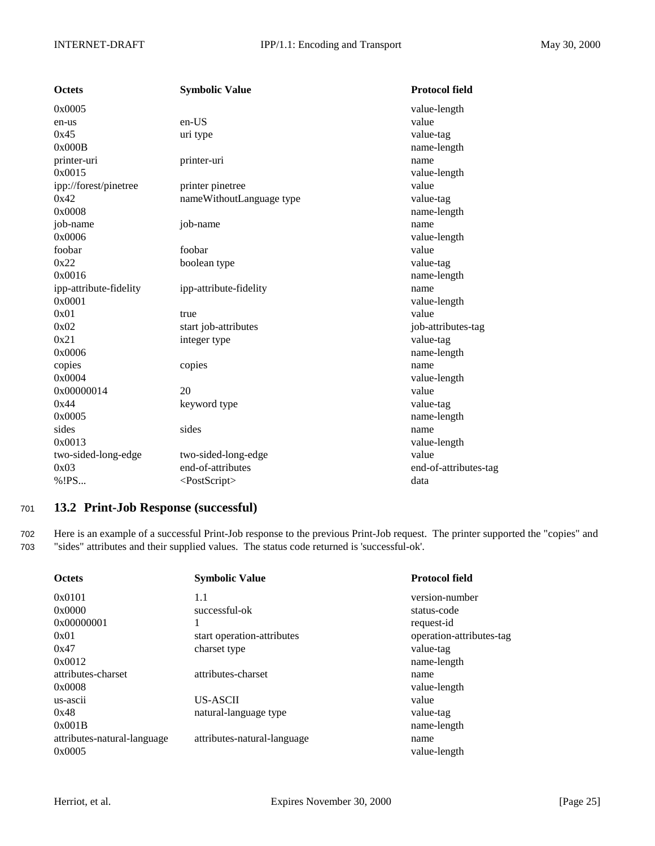<span id="page-24-0"></span>

| <b>Octets</b>          | <b>Symbolic Value</b>     | <b>Protocol field</b> |
|------------------------|---------------------------|-----------------------|
| 0x0005                 |                           | value-length          |
| en-us                  | en-US                     | value                 |
| 0x45                   | uri type                  | value-tag             |
| 0x000B                 |                           | name-length           |
| printer-uri            | printer-uri               | name                  |
| 0x0015                 |                           | value-length          |
| ipp://forest/pinetree  | printer pinetree          | value                 |
| 0x42                   | nameWithoutLanguage type  | value-tag             |
| 0x0008                 |                           | name-length           |
| job-name               | job-name                  | name                  |
| 0x0006                 |                           | value-length          |
| foobar                 | foobar                    | value                 |
| 0x22                   | boolean type              | value-tag             |
| 0x0016                 |                           | name-length           |
| ipp-attribute-fidelity | ipp-attribute-fidelity    | name                  |
| 0x0001                 |                           | value-length          |
| 0x01                   | true                      | value                 |
| 0x02                   | start job-attributes      | job-attributes-tag    |
| 0x21                   | integer type              | value-tag             |
| 0x0006                 |                           | name-length           |
| copies                 | copies                    | name                  |
| 0x0004                 |                           | value-length          |
| 0x00000014             | 20                        | value                 |
| 0x44                   | keyword type              | value-tag             |
| 0x0005                 |                           | name-length           |
| sides                  | sides                     | name                  |
| 0x0013                 |                           | value-length          |
| two-sided-long-edge    | two-sided-long-edge       | value                 |
| 0x03                   | end-of-attributes         | end-of-attributes-tag |
| % ! PS                 | <postscript></postscript> | data                  |

# <sup>701</sup> **13.2 Print-Job Response (successful)**

702 Here is an example of a successful Print-Job response to the previous Print-Job request. The printer supported the "copies" and 703 "sides" attributes and their supplied values. The status code returned is 'successful-ok'.

| <b>Octets</b>               | <b>Symbolic Value</b>       | <b>Protocol field</b>    |
|-----------------------------|-----------------------------|--------------------------|
| 0x0101                      | 1.1                         | version-number           |
| 0x0000                      | successful-ok               | status-code              |
| 0x00000001                  |                             | request-id               |
| 0x01                        | start operation-attributes  | operation-attributes-tag |
| 0x47                        | charset type                | value-tag                |
| 0x0012                      |                             | name-length              |
| attributes-charset          | attributes-charset          | name                     |
| 0x0008                      |                             | value-length             |
| us-ascii                    | US-ASCII                    | value                    |
| 0x48                        | natural-language type       | value-tag                |
| 0x001B                      |                             | name-length              |
| attributes-natural-language | attributes-natural-language | name                     |
| 0x0005                      |                             | value-length             |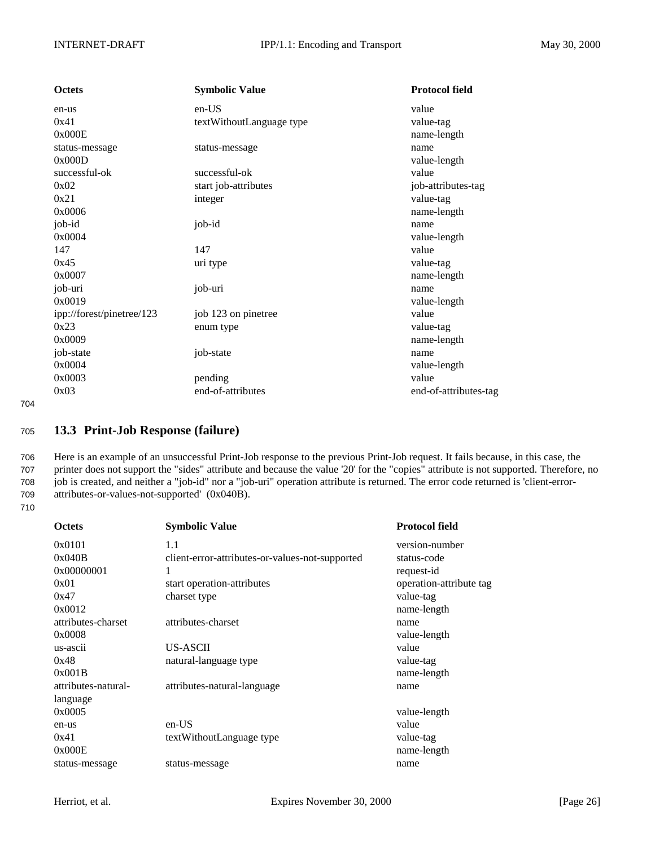<span id="page-25-0"></span>

| <b>Octets</b>             | <b>Symbolic Value</b>    | <b>Protocol field</b> |
|---------------------------|--------------------------|-----------------------|
| en-us                     | en-US                    | value                 |
| 0x41                      | textWithoutLanguage type | value-tag             |
| 0x000E                    |                          | name-length           |
| status-message            | status-message           | name                  |
| 0x000D                    |                          | value-length          |
| successful-ok             | successful-ok            | value                 |
| 0x02                      | start job-attributes     | job-attributes-tag    |
| 0x21                      | integer                  | value-tag             |
| 0x0006                    |                          | name-length           |
| job-id                    | job-id                   | name                  |
| 0x0004                    |                          | value-length          |
| 147                       | 147                      | value                 |
| 0x45                      | uri type                 | value-tag             |
| 0x0007                    |                          | name-length           |
| job-uri                   | job-uri                  | name                  |
| 0x0019                    |                          | value-length          |
| ipp://forest/pinetree/123 | job 123 on pinetree      | value                 |
| 0x23                      | enum type                | value-tag             |
| 0x0009                    |                          | name-length           |
| job-state                 | job-state                | name                  |
| 0x0004                    |                          | value-length          |
| 0x0003                    | pending                  | value                 |
| 0x03                      | end-of-attributes        | end-of-attributes-tag |

# <sup>705</sup> **13.3 Print-Job Response (failure)**

 Here is an example of an unsuccessful Print-Job response to the previous Print-Job request. It fails because, in this case, the printer does not support the "sides" attribute and because the value '20' for the "copies" attribute is not supported. Therefore, no job is created, and neither a "job-id" nor a "job-uri" operation attribute is returned. The error code returned is 'client-error-attributes-or-values-not-supported' (0x040B).

710

| <b>Octets</b>       | <b>Symbolic Value</b>                           | <b>Protocol field</b>   |
|---------------------|-------------------------------------------------|-------------------------|
| 0x0101              | 1.1                                             | version-number          |
| 0x040B              | client-error-attributes-or-values-not-supported | status-code             |
| 0x00000001          | 1                                               | request-id              |
| 0x01                | start operation-attributes                      | operation-attribute tag |
| 0x47                | charset type                                    | value-tag               |
| 0x0012              |                                                 | name-length             |
| attributes-charset  | attributes-charset                              | name                    |
| 0x0008              |                                                 | value-length            |
| us-ascii            | US-ASCII                                        | value                   |
| 0x48                | natural-language type                           | value-tag               |
| 0x001B              |                                                 | name-length             |
| attributes-natural- | attributes-natural-language                     | name                    |
| language            |                                                 |                         |
| 0x0005              |                                                 | value-length            |
| en-us               | en-US                                           | value                   |
| 0x41                | textWithoutLanguage type                        | value-tag               |
| 0x000E              |                                                 | name-length             |
| status-message      | status-message                                  | name                    |
|                     |                                                 |                         |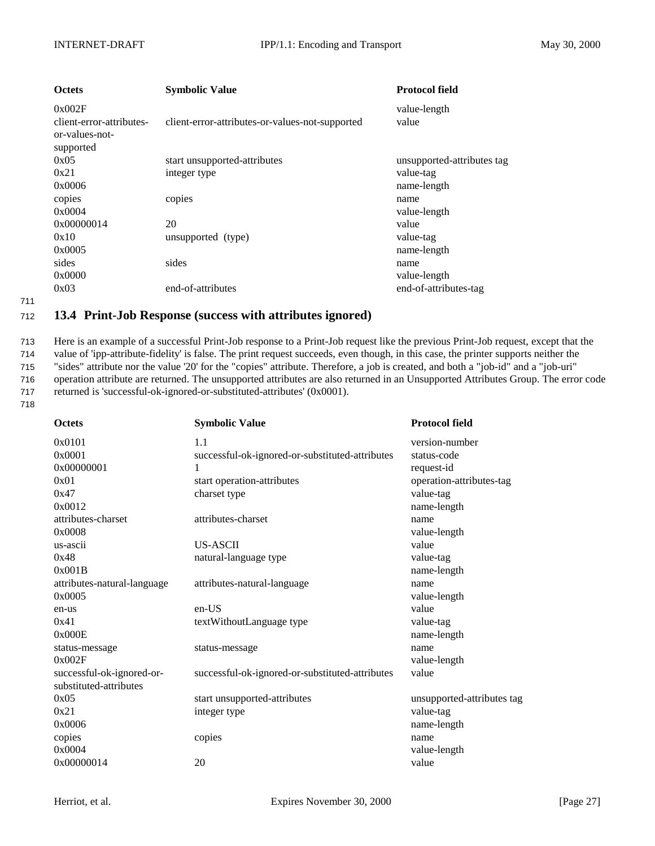<span id="page-26-0"></span>

| <b>Octets</b>                                                     | <b>Symbolic Value</b>                           | <b>Protocol field</b>      |
|-------------------------------------------------------------------|-------------------------------------------------|----------------------------|
| 0x002F<br>client-error-attributes-<br>or-values-not-<br>supported | client-error-attributes-or-values-not-supported | value-length<br>value      |
| 0x05                                                              | start unsupported-attributes                    | unsupported-attributes tag |
| 0x21                                                              | integer type                                    | value-tag                  |
| 0x0006                                                            |                                                 | name-length                |
| copies                                                            | copies                                          | name                       |
| 0x0004                                                            |                                                 | value-length               |
| 0x00000014                                                        | 20                                              | value                      |
| 0x10                                                              | unsupported (type)                              | value-tag                  |
| 0x0005                                                            |                                                 | name-length                |
| sides                                                             | sides                                           | name                       |
| 0x0000                                                            |                                                 | value-length               |
| 0x03                                                              | end-of-attributes                               | end-of-attributes-tag      |

## <sup>712</sup> **13.4 Print-Job Response (success with attributes ignored)**

 Here is an example of a successful Print-Job response to a Print-Job request like the previous Print-Job request, except that the value of 'ipp-attribute-fidelity' is false. The print request succeeds, even though, in this case, the printer supports neither the "sides" attribute nor the value '20' for the "copies" attribute. Therefore, a job is created, and both a "job-id" and a "job-uri" operation attribute are returned. The unsupported attributes are also returned in an Unsupported Attributes Group. The error code returned is 'successful-ok-ignored-or-substituted-attributes' (0x0001).

718

| <b>Octets</b>               | <b>Symbolic Value</b>                           | <b>Protocol field</b>      |
|-----------------------------|-------------------------------------------------|----------------------------|
| 0x0101                      | 1.1                                             | version-number             |
| 0x0001                      | successful-ok-ignored-or-substituted-attributes | status-code                |
| 0x00000001                  | 1                                               | request-id                 |
| 0x01                        | start operation-attributes                      | operation-attributes-tag   |
| 0x47                        | charset type                                    | value-tag                  |
| 0x0012                      |                                                 | name-length                |
| attributes-charset          | attributes-charset                              | name                       |
| 0x0008                      |                                                 | value-length               |
| us-ascii                    | <b>US-ASCII</b>                                 | value                      |
| 0x48                        | natural-language type                           | value-tag                  |
| 0x001B                      |                                                 | name-length                |
| attributes-natural-language | attributes-natural-language                     | name                       |
| 0x0005                      |                                                 | value-length               |
| en-us                       | en-US                                           | value                      |
| 0x41                        | textWithoutLanguage type                        | value-tag                  |
| 0x000E                      |                                                 | name-length                |
| status-message              | status-message                                  | name                       |
| 0x002F                      |                                                 | value-length               |
| successful-ok-ignored-or-   | successful-ok-ignored-or-substituted-attributes | value                      |
| substituted-attributes      |                                                 |                            |
| 0x05                        | start unsupported-attributes                    | unsupported-attributes tag |
| 0x21                        | integer type                                    | value-tag                  |
| 0x0006                      |                                                 | name-length                |
| copies                      | copies                                          | name                       |
| 0x0004                      |                                                 | value-length               |
| 0x00000014                  | 20                                              | value                      |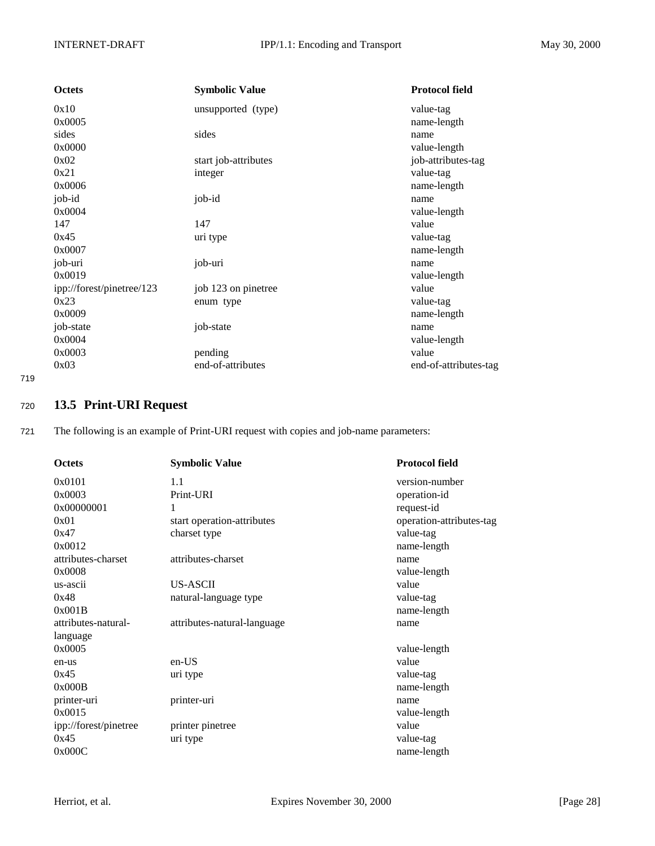<span id="page-27-0"></span>

| Octets                    | <b>Symbolic Value</b> | <b>Protocol field</b> |
|---------------------------|-----------------------|-----------------------|
| 0x10                      | unsupported (type)    | value-tag             |
| 0x0005                    |                       | name-length           |
| sides                     | sides                 | name                  |
| 0x0000                    |                       | value-length          |
| 0x02                      | start job-attributes  | job-attributes-tag    |
| 0x21                      | integer               | value-tag             |
| 0x0006                    |                       | name-length           |
| job-id                    | job-id                | name                  |
| 0x0004                    |                       | value-length          |
| 147                       | 147                   | value                 |
| 0x45                      | uri type              | value-tag             |
| 0x0007                    |                       | name-length           |
| job-uri                   | job-uri               | name                  |
| 0x0019                    |                       | value-length          |
| ipp://forest/pinetree/123 | job 123 on pinetree   | value                 |
| 0x23                      | enum type             | value-tag             |
| 0x0009                    |                       | name-length           |
| job-state                 | job-state             | name                  |
| 0x0004                    |                       | value-length          |
| 0x0003                    | pending               | value                 |
| 0x03                      | end-of-attributes     | end-of-attributes-tag |

# <sup>720</sup> **13.5 Print-URI Request**

721 The following is an example of Print-URI request with copies and job-name parameters:

| <b>Octets</b>         | <b>Symbolic Value</b>       | <b>Protocol field</b>    |
|-----------------------|-----------------------------|--------------------------|
| 0x0101                | 1.1                         | version-number           |
| 0x0003                | Print-URI                   | operation-id             |
| 0x00000001            | 1                           | request-id               |
| 0x01                  | start operation-attributes  | operation-attributes-tag |
| 0x47                  | charset type                | value-tag                |
| 0x0012                |                             | name-length              |
| attributes-charset    | attributes-charset          | name                     |
| 0x0008                |                             | value-length             |
| us-ascii              | <b>US-ASCII</b>             | value                    |
| 0x48                  | natural-language type       | value-tag                |
| 0x001B                |                             | name-length              |
| attributes-natural-   | attributes-natural-language | name                     |
| language              |                             |                          |
| 0x0005                |                             | value-length             |
| en-us                 | $en-US$                     | value                    |
| 0x45                  | uri type                    | value-tag                |
| 0x000B                |                             | name-length              |
| printer-uri           | printer-uri                 | name                     |
| 0x0015                |                             | value-length             |
| ipp://forest/pinetree | printer pinetree            | value                    |
| 0x45                  | uri type                    | value-tag                |
| 0x000C                |                             | name-length              |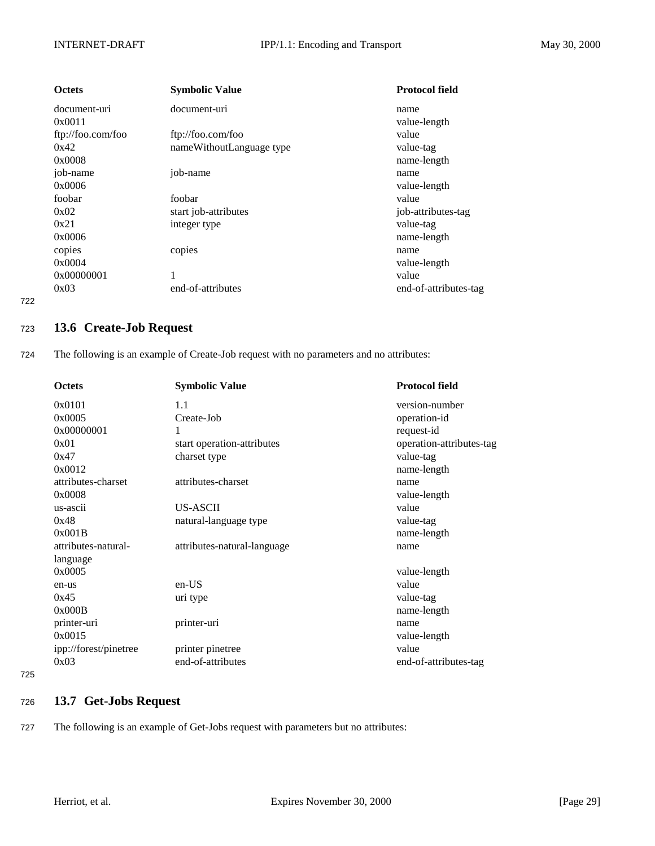<span id="page-28-0"></span>

| <b>Octets</b>     | <b>Symbolic Value</b>    | <b>Protocol field</b> |
|-------------------|--------------------------|-----------------------|
| document-uri      | document-uri             | name                  |
| 0x0011            |                          | value-length          |
| ftp://foo.com/foo | ftp://foo.com/foo        | value                 |
| 0x42              | nameWithoutLanguage type | value-tag             |
| 0x0008            |                          | name-length           |
| job-name          | job-name                 | name                  |
| 0x0006            |                          | value-length          |
| foobar            | foobar                   | value                 |
| 0x02              | start job-attributes     | job-attributes-tag    |
| 0x21              | integer type             | value-tag             |
| 0x0006            |                          | name-length           |
| copies            | copies                   | name                  |
| 0x0004            |                          | value-length          |
| 0x00000001        |                          | value                 |
| 0x03              | end-of-attributes        | end-of-attributes-tag |

## <sup>723</sup> **13.6 Create-Job Request**

724 The following is an example of Create-Job request with no parameters and no attributes:

| <b>Octets</b>         | <b>Symbolic Value</b>       | <b>Protocol field</b>    |
|-----------------------|-----------------------------|--------------------------|
| 0x0101                | 1.1                         | version-number           |
| 0x0005                | Create-Job                  | operation-id             |
| 0x00000001            | 1                           | request-id               |
| 0x01                  | start operation-attributes  | operation-attributes-tag |
| 0x47                  | charset type                | value-tag                |
| 0x0012                |                             | name-length              |
| attributes-charset    | attributes-charset          | name                     |
| 0x0008                |                             | value-length             |
| us-ascii              | <b>US-ASCII</b>             | value                    |
| 0x48                  | natural-language type       | value-tag                |
| 0x001B                |                             | name-length              |
| attributes-natural-   | attributes-natural-language | name                     |
| language              |                             |                          |
| 0x0005                |                             | value-length             |
| en-us                 | $en-US$                     | value                    |
| 0x45                  | uri type                    | value-tag                |
| 0x000B                |                             | name-length              |
| printer-uri           | printer-uri                 | name                     |
| 0x0015                |                             | value-length             |
| ipp://forest/pinetree | printer pinetree            | value                    |
| 0x03                  | end-of-attributes           | end-of-attributes-tag    |

725

# <sup>726</sup> **13.7 Get-Jobs Request**

727 The following is an example of Get-Jobs request with parameters but no attributes: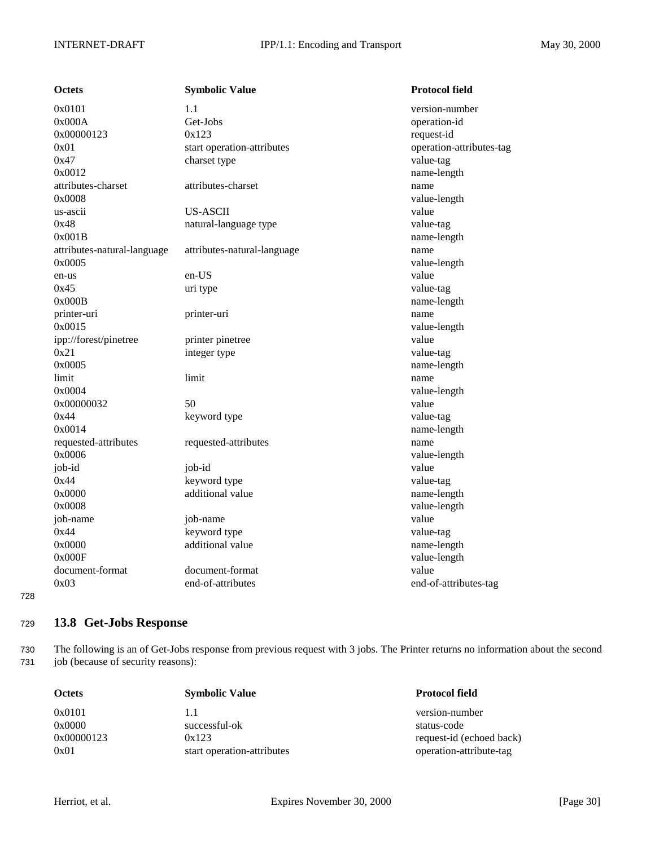<span id="page-29-0"></span>

| <b>Octets</b>               | <b>Symbolic Value</b>       | <b>Protocol field</b>    |
|-----------------------------|-----------------------------|--------------------------|
| 0x0101                      | 1.1                         | version-number           |
| 0x000A                      | Get-Jobs                    | operation-id             |
| 0x00000123                  | 0x123                       | request-id               |
| 0x01                        | start operation-attributes  | operation-attributes-tag |
| 0x47                        | charset type                | value-tag                |
| 0x0012                      |                             | name-length              |
| attributes-charset          | attributes-charset          | name                     |
| 0x0008                      |                             | value-length             |
| us-ascii                    | <b>US-ASCII</b>             | value                    |
| 0x48                        | natural-language type       | value-tag                |
| 0x001B                      |                             | name-length              |
| attributes-natural-language | attributes-natural-language | name                     |
| 0x0005                      |                             | value-length             |
| en-us                       | en-US                       | value                    |
| 0x45                        | uri type                    | value-tag                |
| 0x000B                      |                             | name-length              |
| printer-uri                 | printer-uri                 | name                     |
| 0x0015                      |                             | value-length             |
| ipp://forest/pinetree       | printer pinetree            | value                    |
| 0x21                        | integer type                | value-tag                |
| 0x0005                      |                             | name-length              |
| limit                       | limit                       | name                     |
| 0x0004                      |                             | value-length             |
| 0x00000032                  | 50                          | value                    |
| 0x44                        | keyword type                | value-tag                |
| 0x0014                      |                             | name-length              |
| requested-attributes        | requested-attributes        | name                     |
| 0x0006                      |                             | value-length             |
| job-id                      | job-id                      | value                    |
| 0x44                        | keyword type                | value-tag                |
| 0x0000                      | additional value            | name-length              |
| 0x0008                      |                             | value-length             |
| job-name                    | job-name                    | value                    |
| 0x44                        | keyword type                | value-tag                |
| 0x0000                      | additional value            | name-length              |
| 0x000F                      |                             | value-length             |
| document-format             | document-format             | value                    |
| 0x03                        | end-of-attributes           | end-of-attributes-tag    |

# <sup>729</sup> **13.8 Get-Jobs Response**

730 The following is an of Get-Jobs response from previous request with 3 jobs. The Printer returns no information about the second 731 job (because of security reasons):

| <b>Octets</b> | <b>Symbolic Value</b>      | <b>Protocol field</b>    |
|---------------|----------------------------|--------------------------|
| 0x0101        | 1.1                        | version-number           |
| 0x0000        | successful-ok              | status-code              |
| 0x00000123    | 0x123                      | request-id (echoed back) |
| 0x01          | start operation-attributes | operation-attribute-tag  |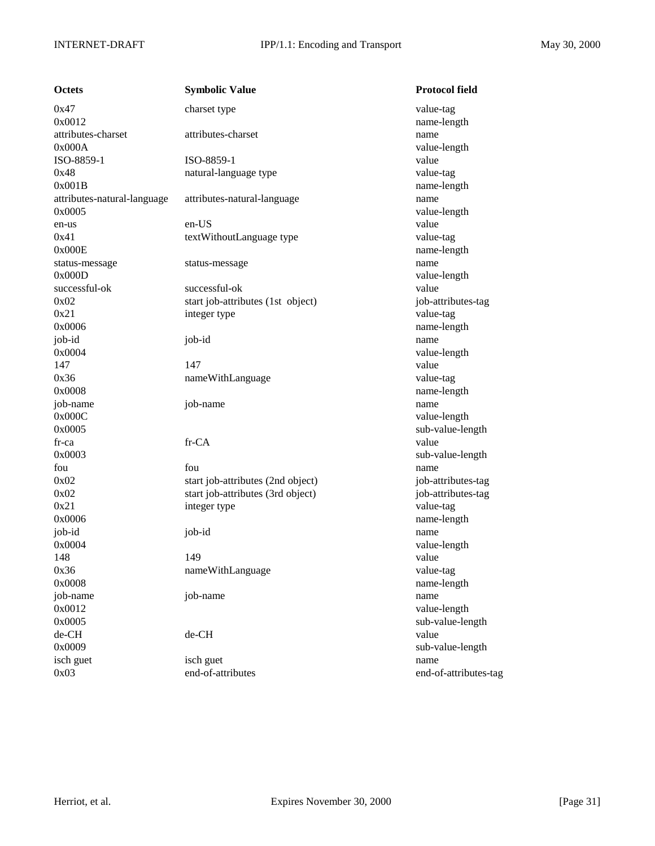| Octets               |
|----------------------|
| 0x47                 |
| 0x0012               |
| attributes-charset   |
| 0x000A               |
| ISO-8859-1           |
| 0x48                 |
| 0x001B               |
| attributes-natural-l |
| 0x0005               |
| en-us                |
| 0x41                 |
| 0x000E               |
| status-message       |
| 0x000D               |
| successful-ok        |
| 0x02                 |
| 0x21                 |
| 0x0006               |
| job-id               |
| 0x0004               |
| 147                  |
| 0x36                 |
| 0x0008               |
| job-name             |
| 0x000C               |
| 0x0005               |
| fr-ca                |
| 0x0003               |
| fou                  |
| 0x02                 |
| 0x02                 |
| 0x21                 |
| 0x0006               |
| job-id               |
| 0x0004               |
| 148                  |
| 0x36                 |
| 0x0008               |
| job-name             |
| 0x0012               |
| 0x0005               |
| de-CH                |
| 0x0009               |
| isch guet            |
| 0x03                 |

| Octets                      | <b>Symbolic Value</b>             | <b>Protocol field</b> |
|-----------------------------|-----------------------------------|-----------------------|
| 0x47                        | charset type                      | value-tag             |
| 0x0012                      |                                   | name-length           |
| attributes-charset          | attributes-charset                | name                  |
| 0x000A                      |                                   | value-length          |
| ISO-8859-1                  | ISO-8859-1                        | value                 |
| 0x48                        | natural-language type             | value-tag             |
| 0x001B                      |                                   | name-length           |
| attributes-natural-language | attributes-natural-language       | name                  |
| 0x0005                      |                                   | value-length          |
| en-us                       | en-US                             | value                 |
| 0x41                        | textWithoutLanguage type          | value-tag             |
| 0x000E                      |                                   | name-length           |
| status-message              | status-message                    | name                  |
| 0x000D                      |                                   | value-length          |
| successful-ok               | successful-ok                     | value                 |
| 0x02                        | start job-attributes (1st object) | job-attributes-tag    |
| 0x21                        | integer type                      | value-tag             |
| 0x0006                      |                                   | name-length           |
| job-id                      | job-id                            | name                  |
| 0x0004                      |                                   | value-length          |
| 147                         | 147                               | value                 |
| 0x36                        | nameWithLanguage                  | value-tag             |
| 0x0008                      |                                   | name-length           |
| job-name                    | job-name                          | name                  |
| 0x000C                      |                                   | value-length          |
| 0x0005                      |                                   | sub-value-length      |
| fr-ca                       | fr-CA                             | value                 |
| 0x0003                      |                                   | sub-value-length      |
| fou                         | fou                               | name                  |
| 0x02                        | start job-attributes (2nd object) | job-attributes-tag    |
| 0x02                        | start job-attributes (3rd object) | job-attributes-tag    |
| 0x21                        | integer type                      | value-tag             |
| 0x0006                      |                                   | name-length           |
| job-id                      | job-id                            | name                  |
| 0x0004                      |                                   | value-length          |
| 148                         | 149                               | value                 |
| 0x36                        | nameWithLanguage                  | value-tag             |
| 0x0008                      |                                   | name-length           |
| job-name                    | job-name                          | name                  |
| 0x0012                      |                                   | value-length          |
| 0x0005                      |                                   | sub-value-length      |
| de-CH                       | de-CH                             | value                 |
| 0x0009                      |                                   | sub-value-length      |
| isch guet                   | isch guet                         | name                  |
| 0x03                        | end-of-attributes                 | end-of-attributes-tag |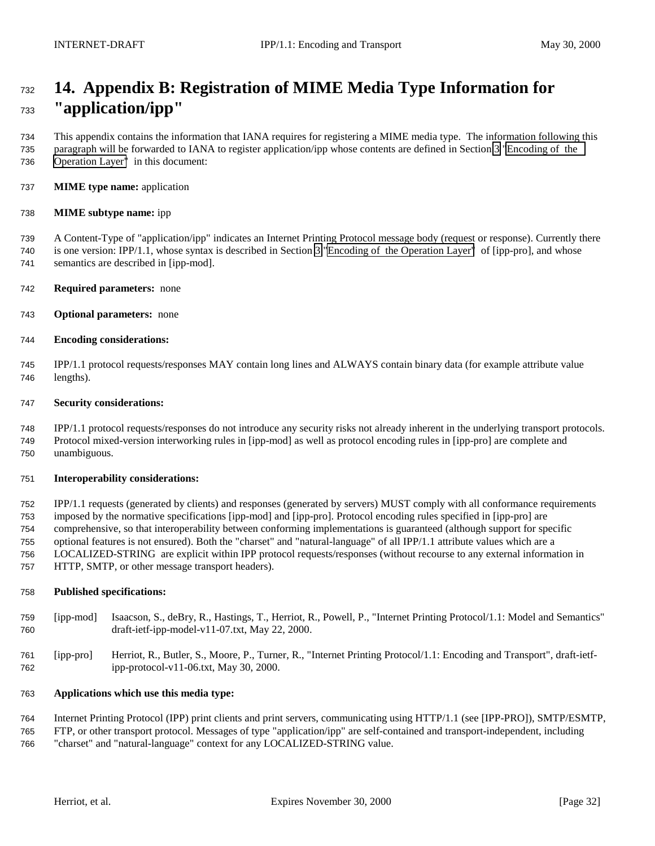# <span id="page-31-0"></span> **14. Appendix B: Registration of MIME Media Type Information for "application/ipp"**

 This appendix contains the information that IANA requires for registering a MIME media type. The information following this paragraph will be forwarded to IANA to register application/ipp whose contents are defined in Section [3 "Encoding of the](#page-4-0) [Operation Layer"](#page-4-0) in this document:

**MIME type name:** application

#### **MIME subtype name:** ipp

 A Content-Type of "application/ipp" indicates an Internet Printing Protocol message body (request or response). Currently there is one version: IPP/1.1, whose syntax is described in Section [3 "Encoding of the Operation Layer"](#page-4-0) of [ipp-pro], and whose semantics are described in [ipp-mod].

- **Required parameters:** none
- **Optional parameters:** none
- **Encoding considerations:**

 IPP/1.1 protocol requests/responses MAY contain long lines and ALWAYS contain binary data (for example attribute value lengths).

#### **Security considerations:**

 IPP/1.1 protocol requests/responses do not introduce any security risks not already inherent in the underlying transport protocols. Protocol mixed-version interworking rules in [ipp-mod] as well as protocol encoding rules in [ipp-pro] are complete and unambiguous.

#### **Interoperability considerations:**

 IPP/1.1 requests (generated by clients) and responses (generated by servers) MUST comply with all conformance requirements imposed by the normative specifications [ipp-mod] and [ipp-pro]. Protocol encoding rules specified in [ipp-pro] are comprehensive, so that interoperability between conforming implementations is guaranteed (although support for specific optional features is not ensured). Both the "charset" and "natural-language" of all IPP/1.1 attribute values which are a LOCALIZED-STRING are explicit within IPP protocol requests/responses (without recourse to any external information in HTTP, SMTP, or other message transport headers).

#### **Published specifications:**

- [ipp-mod] Isaacson, S., deBry, R., Hastings, T., Herriot, R., Powell, P., "Internet Printing Protocol/1.1: Model and Semantics" draft-ietf-ipp-model-v11-07.txt, May 22, 2000.
- [ipp-pro] Herriot, R., Butler, S., Moore, P., Turner, R., "Internet Printing Protocol/1.1: Encoding and Transport", draft-ietf-ipp-protocol-v11-06.txt, May 30, 2000.

## **Applications which use this media type:**

Internet Printing Protocol (IPP) print clients and print servers, communicating using HTTP/1.1 (see [IPP-PRO]), SMTP/ESMTP,

 FTP, or other transport protocol. Messages of type "application/ipp" are self-contained and transport-independent, including "charset" and "natural-language" context for any LOCALIZED-STRING value.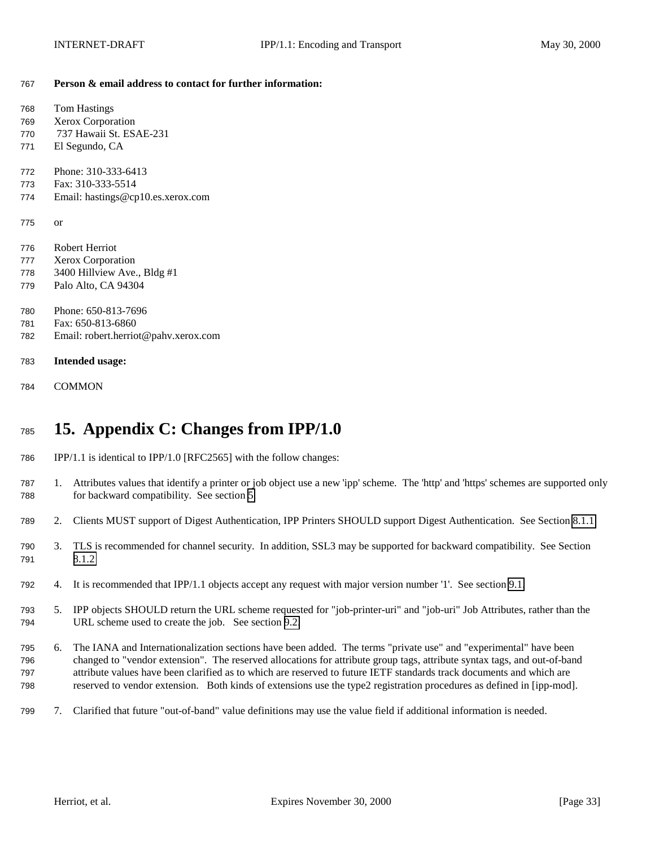#### <span id="page-32-0"></span>**Person & email address to contact for further information:**

| 768 | <b>Tom Hastings</b>                  |
|-----|--------------------------------------|
| 769 | Xerox Corporation                    |
| 770 | 737 Hawaii St. ESAE-231              |
| 771 | El Segundo, CA                       |
| 772 | Phone: 310-333-6413                  |
|     | Fax: 310-333-5514                    |
| 773 |                                      |
| 774 | Email: hastings@cp10.es.xerox.com    |
| 775 |                                      |
|     | or                                   |
| 776 | Robert Herriot                       |
| 777 | Xerox Corporation                    |
| 778 | 3400 Hillview Ave., Bldg #1          |
| 779 | Palo Alto, CA 94304                  |
|     |                                      |
| 780 | Phone: 650-813-7696                  |
| 781 | Fax: 650-813-6860                    |
| 782 | Email: robert.herriot@pahv.xerox.com |
|     |                                      |
| 783 | <b>Intended usage:</b>               |
|     |                                      |
| 784 | <b>COMMON</b>                        |
|     |                                      |

# **15. Appendix C: Changes from IPP/1.0**

- IPP/1.1 is identical to IPP/1.0 [RFC2565] with the follow changes:
- 1. Attributes values that identify a printer or job object use a new 'ipp' scheme. The 'http' and 'https' schemes are supported only for backward compatibility. See section [5.](#page-16-0)
- 2. Clients MUST support of Digest Authentication, IPP Printers SHOULD support Digest Authentication. See Section [8.1.1](#page-18-0)
- 3. TLS is recommended for channel security. In addition, SSL3 may be supported for backward compatibility. See Section [8.1.2](#page-18-0)
- 4. It is recommended that IPP/1.1 objects accept any request with major version number '1'. See section [9.1.](#page-19-0)
- 5. IPP objects SHOULD return the URL scheme requested for "job-printer-uri" and "job-uri" Job Attributes, rather than the URL scheme used to create the job. See section [9.2.](#page-19-0)
- 6. The IANA and Internationalization sections have been added. The terms "private use" and "experimental" have been changed to "vendor extension". The reserved allocations for attribute group tags, attribute syntax tags, and out-of-band attribute values have been clarified as to which are reserved to future IETF standards track documents and which are reserved to vendor extension. Both kinds of extensions use the type2 registration procedures as defined in [ipp-mod].
- 7. Clarified that future "out-of-band" value definitions may use the value field if additional information is needed.